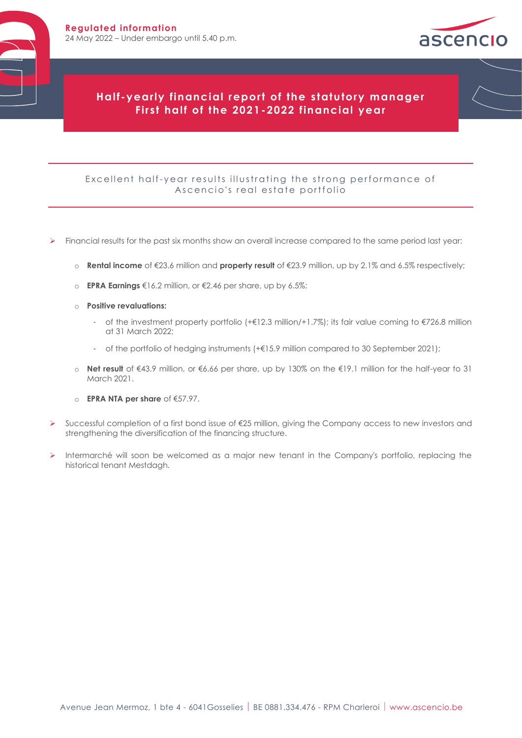

# **Half -yearly financial report of the s tatutory manager First half of the 2021 -2022 financial year**

#### Excellent half-year results illustrating the strong performance of Ascencio's real estate portfolio

- ➢ Financial results for the past six months show an overall increase compared to the same period last year:
	- o **Rental income** of €23.6 million and **property result** of €23.9 million, up by 2.1% and 6.5% respectively;
	- o **EPRA Earnings** €16.2 million, or €2.46 per share, up by 6.5%:
	- o **Positive revaluations:**
		- of the investment property portfolio (+€12.3 million/+1.7%); its fair value coming to €726.8 million at 31 March 2022;
		- of the portfolio of hedging instruments (+€15.9 million compared to 30 September 2021);
	- o **Net result** of €43.9 million, or €6.66 per share, up by 130% on the €19.1 million for the half-year to 31 March 2021.
	- o **EPRA NTA per share** of €57.97.
- ➢ Successful completion of a first bond issue of €25 million, giving the Company access to new investors and strengthening the diversification of the financing structure.
- ➢ Intermarché will soon be welcomed as a major new tenant in the Company's portfolio, replacing the historical tenant Mestdagh.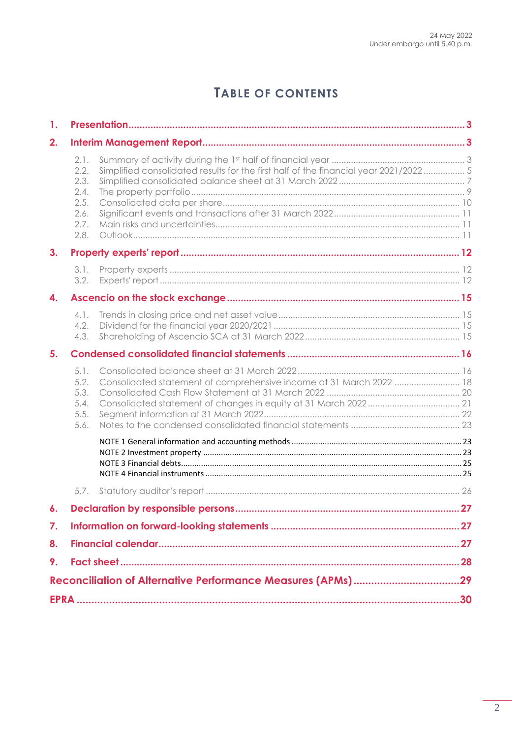# TABLE OF CONTENTS

| $\mathbf{1}$ .     |                                                              |                                                                                      |  |
|--------------------|--------------------------------------------------------------|--------------------------------------------------------------------------------------|--|
| 2.                 |                                                              |                                                                                      |  |
|                    | 2.1.<br>2.2.<br>2.3.<br>2.4.<br>2.5.<br>2.6.<br>2.7.<br>2.8. | Simplified consolidated results for the first half of the financial year 2021/2022 5 |  |
| 3 <sub>1</sub>     |                                                              |                                                                                      |  |
|                    | 3.1.<br>3.2.                                                 |                                                                                      |  |
| 4.                 |                                                              |                                                                                      |  |
|                    | 4.1.<br>4.2.<br>4.3.                                         |                                                                                      |  |
| 5.                 |                                                              |                                                                                      |  |
|                    | 5.1.<br>5.2.<br>5.3.<br>5.4.<br>5.5.<br>5.6.                 | Consolidated statement of comprehensive income at 31 March 2022  18                  |  |
|                    |                                                              |                                                                                      |  |
|                    | 5.7.                                                         |                                                                                      |  |
| $\boldsymbol{6}$ . |                                                              |                                                                                      |  |
| 7.                 |                                                              |                                                                                      |  |
| 8.                 |                                                              |                                                                                      |  |
| 9.                 |                                                              |                                                                                      |  |
|                    |                                                              |                                                                                      |  |
|                    |                                                              |                                                                                      |  |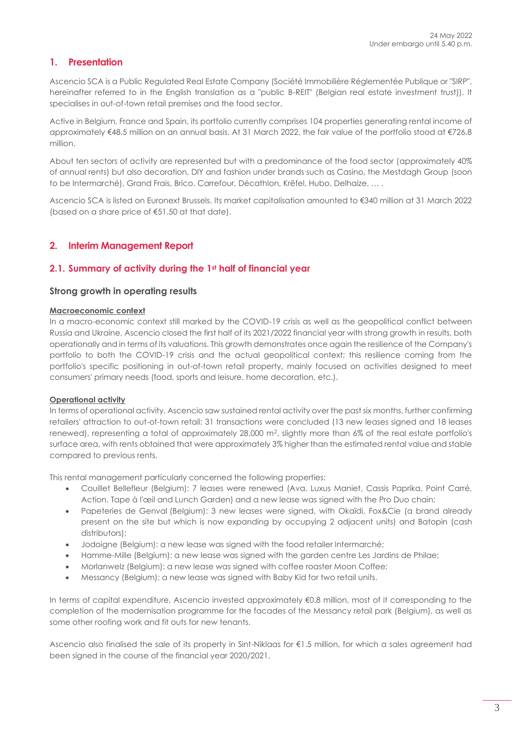# <span id="page-2-0"></span>**1. Presentation**

Ascencio SCA is a Public Regulated Real Estate Company (Société Immobilière Réglementée Publique or "SIRP", hereinafter referred to in the English translation as a "public B-REIT" (Belgian real estate investment trust)). It specialises in out-of-town retail premises and the food sector.

Active in Belgium, France and Spain, its portfolio currently comprises 104 properties generating rental income of approximately €48.5 million on an annual basis. At 31 March 2022, the fair value of the portfolio stood at €726.8 million.

About ten sectors of activity are represented but with a predominance of the food sector (approximately 40% of annual rents) but also decoration, DIY and fashion under brands such as Casino, the Mestdagh Group (soon to be Intermarché), Grand Frais, Brico, Carrefour, Décathlon, Krëfel, Hubo, Delhaize, … .

Ascencio SCA is listed on Euronext Brussels. Its market capitalisation amounted to €340 million at 31 March 2022 (based on a share price of €51.50 at that date).

#### <span id="page-2-1"></span>**2. Interim Management Report**

#### <span id="page-2-2"></span>**2.1. Summary of activity during the 1st half of financial year**

#### **Strong growth in operating results**

#### **Macroeconomic context**

In a macro-economic context still marked by the COVID-19 crisis as well as the geopolitical conflict between Russia and Ukraine, Ascencio closed the first half of its 2021/2022 financial year with strong growth in results, both operationally and in terms of its valuations. This growth demonstrates once again the resilience of the Company's portfolio to both the COVID-19 crisis and the actual geopolitical context; this resilience coming from the portfolio's specific positioning in out-of-town retail property, mainly focused on activities designed to meet consumers' primary needs (food, sports and leisure, home decoration, etc.).

#### **Operational activity**

In terms of operational activity, Ascencio saw sustained rental activity over the past six months, further confirming retailers' attraction to out-of-town retail: 31 transactions were concluded (13 new leases signed and 18 leases renewed), representing a total of approximately 28,000 m<sup>2</sup> , slightly more than 6% of the real estate portfolio's surface area, with rents obtained that were approximately 3% higher than the estimated rental value and stable compared to previous rents.

This rental management particularly concerned the following properties:

- Couillet Bellefleur (Belgium): 7 leases were renewed (Ava, Luxus Maniet, Cassis Paprika, Point Carré, Action, Tape à l'œil and Lunch Garden) and a new lease was signed with the Pro Duo chain;
- Papeteries de Genval (Belgium): 3 new leases were signed, with Okaïdi, Fox&Cie (a brand already present on the site but which is now expanding by occupying 2 adjacent units) and Batopin (cash distributors);
- Jodoigne (Belgium): a new lease was signed with the food retailer Intermarché;
- Hamme-Mille (Belgium): a new lease was signed with the garden centre Les Jardins de Philae;
- Morlanwelz (Belgium): a new lease was signed with coffee roaster Moon Coffee;
- Messancy (Belgium): a new lease was signed with Baby Kid for two retail units.

In terms of capital expenditure, Ascencio invested approximately €0.8 million, most of it corresponding to the completion of the modernisation programme for the facades of the Messancy retail park (Belgium), as well as some other roofing work and fit outs for new tenants.

Ascencio also finalised the sale of its property in Sint-Niklaas for €1.5 million, for which a sales agreement had been signed in the course of the financial year 2020/2021.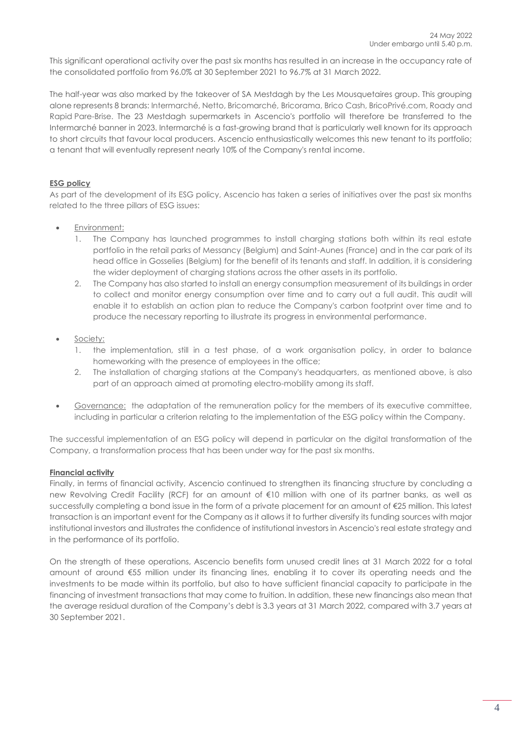This significant operational activity over the past six months has resulted in an increase in the occupancy rate of the consolidated portfolio from 96.0% at 30 September 2021 to 96.7% at 31 March 2022.

The half-year was also marked by the takeover of SA Mestdagh by the Les Mousquetaires group. This grouping alone represents 8 brands[: Intermarché,](https://www.mousquetaires.com/en/our-store-brands/food/intermarche/) [Netto,](https://www.mousquetaires.com/en/our-store-brands/food/netto/) Bricomarché, [Bricorama,](https://www.mousquetaires.com/en/our-store-brands/home-improvement/bricorama/) Brico Cash, BricoPrivé.com, Roady and Rapid Pare-Brise. The 23 Mestdagh supermarkets in Ascencio's portfolio will therefore be transferred to the Intermarché banner in 2023. Intermarché is a fast-growing brand that is particularly well known for its approach to short circuits that favour local producers. Ascencio enthusiastically welcomes this new tenant to its portfolio; a tenant that will eventually represent nearly 10% of the Company's rental income.

#### **ESG policy**

As part of the development of its ESG policy, Ascencio has taken a series of initiatives over the past six months related to the three pillars of ESG issues:

- Environment:
	- 1. The Company has launched programmes to install charging stations both within its real estate portfolio in the retail parks of Messancy (Belgium) and Saint-Aunes (France) and in the car park of its head office in Gosselies (Belgium) for the benefit of its tenants and staff. In addition, it is considering the wider deployment of charging stations across the other assets in its portfolio.
	- 2. The Company has also started to install an energy consumption measurement of its buildings in order to collect and monitor energy consumption over time and to carry out a full audit. This audit will enable it to establish an action plan to reduce the Company's carbon footprint over time and to produce the necessary reporting to illustrate its progress in environmental performance.
- Society:
	- 1. the implementation, still in a test phase, of a work organisation policy, in order to balance homeworking with the presence of employees in the office;
	- 2. The installation of charging stations at the Company's headquarters, as mentioned above, is also part of an approach aimed at promoting electro-mobility among its staff.
- Governance: the adaptation of the remuneration policy for the members of its executive committee, including in particular a criterion relating to the implementation of the ESG policy within the Company.

The successful implementation of an ESG policy will depend in particular on the digital transformation of the Company, a transformation process that has been under way for the past six months.

#### **Financial activity**

Finally, in terms of financial activity, Ascencio continued to strengthen its financing structure by concluding a new Revolving Credit Facility (RCF) for an amount of €10 million with one of its partner banks, as well as successfully completing a bond issue in the form of a private placement for an amount of €25 million. This latest transaction is an important event for the Company as it allows it to further diversify its funding sources with major institutional investors and illustrates the confidence of institutional investors in Ascencio's real estate strategy and in the performance of its portfolio.

On the strength of these operations, Ascencio benefits form unused credit lines at 31 March 2022 for a total amount of around €55 million under its financing lines, enabling it to cover its operating needs and the investments to be made within its portfolio, but also to have sufficient financial capacity to participate in the financing of investment transactions that may come to fruition. In addition, these new financings also mean that the average residual duration of the Company's debt is 3.3 years at 31 March 2022, compared with 3.7 years at 30 September 2021.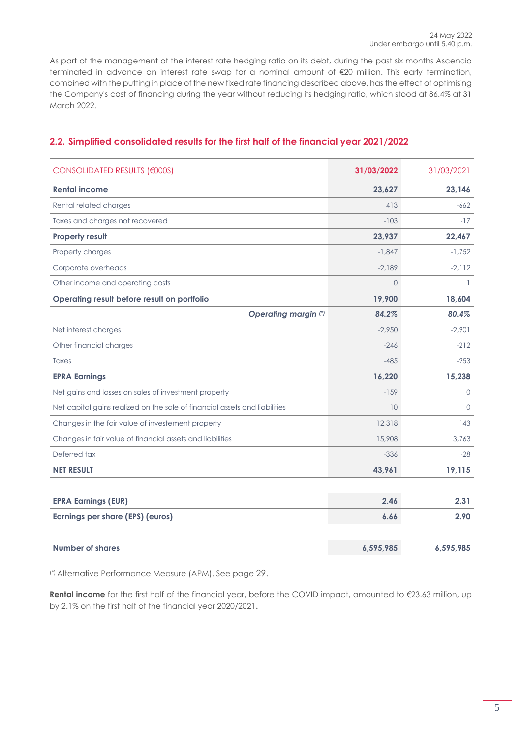As part of the management of the interest rate hedging ratio on its debt, during the past six months Ascencio terminated in advance an interest rate swap for a nominal amount of €20 million. This early termination, combined with the putting in place of the new fixed rate financing described above, has the effect of optimising the Company's cost of financing during the year without reducing its hedging ratio, which stood at 86.4% at 31 March 2022.

| <b>CONSOLIDATED RESULTS (€000S)</b>                                        | 31/03/2022 | 31/03/2021 |
|----------------------------------------------------------------------------|------------|------------|
| <b>Rental income</b>                                                       | 23,627     | 23,146     |
| Rental related charges                                                     | 413        | $-662$     |
| Taxes and charges not recovered                                            | $-103$     | $-17$      |
| <b>Property result</b>                                                     | 23,937     | 22,467     |
| Property charges                                                           | $-1.847$   | $-1.752$   |
| Corporate overheads                                                        | $-2,189$   | $-2,112$   |
| Other income and operating costs                                           | $\Omega$   |            |
| Operating result before result on portfolio                                | 19,900     | 18,604     |
| <b>Operating margin (*)</b>                                                | 84.2%      | 80.4%      |
| Net interest charges                                                       | $-2.950$   | $-2.901$   |
| Other financial charges                                                    | $-246$     | $-212$     |
| Taxes                                                                      | $-485$     | $-253$     |
| <b>EPRA Earnings</b>                                                       | 16,220     | 15,238     |
| Net gains and losses on sales of investment property                       | $-159$     | $\circ$    |
| Net capital gains realized on the sale of financial assets and liabilities | 10         | $\Omega$   |
| Changes in the fair value of investement property                          | 12,318     | 143        |
| Changes in fair value of financial assets and liabilities                  | 15,908     | 3.763      |
| Deferred tax                                                               | $-336$     | $-28$      |
| <b>NET RESULT</b>                                                          | 43,961     | 19,115     |
|                                                                            |            |            |
| <b>EPRA Earnings (EUR)</b>                                                 | 2.46       | 2.31       |
| <b>Earnings per share (EPS) (euros)</b>                                    | 6.66       | 2.90       |
|                                                                            |            |            |
| <b>Number of shares</b>                                                    | 6,595,985  | 6,595,985  |

# <span id="page-4-0"></span>**2.2. Simplified consolidated results for the first half of the financial year 2021/2022**

(\*) Alternative Performance Measure (APM). See page 29.

**Rental income** for the first half of the financial year, before the COVID impact, amounted to €23.63 million, up by 2.1% on the first half of the financial year 2020/2021**.**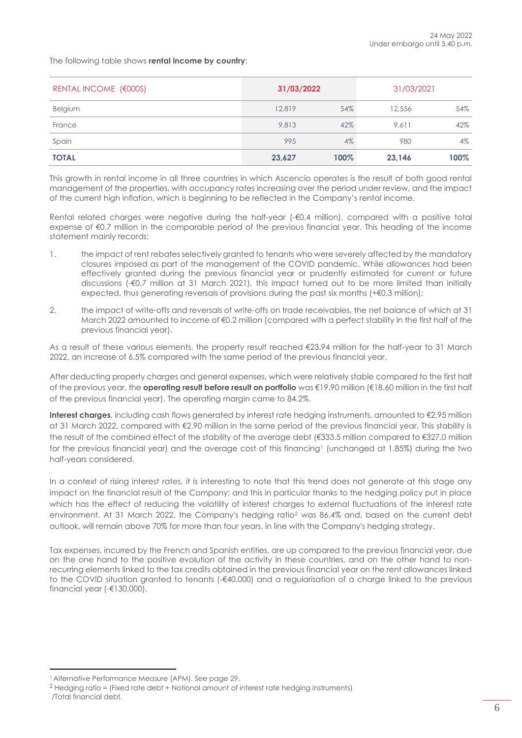The following table shows **rental income by country**:

| <b>RENTAL INCOME (€000S)</b> | 31/03/2022 |         | 31/03/2021 |      |
|------------------------------|------------|---------|------------|------|
| <b>Belgium</b>               | 12,819     | 54%     | 12,556     | 54%  |
| France                       | 9.813      | 42%     | 9.611      | 42%  |
| Spain                        | 995        | $4\%$   | 980        | 4%   |
| <b>TOTAL</b>                 | 23,627     | $100\%$ | 23,146     | 100% |

This growth in rental income in all three countries in which Ascencio operates is the result of both good rental management of the properties, with occupancy rates increasing over the period under review, and the impact of the current high inflation, which is beginning to be reflected in the Company's rental income.

Rental related charges were negative during the half-year (-€0.4 million), compared with a positive total expense of €0.7 million in the comparable period of the previous financial year. This heading of the income statement mainly records:

- 1. the impact of rent rebates selectively granted to tenants who were severely affected by the mandatory closures imposed as part of the management of the COVID pandemic. While allowances had been effectively granted during the previous financial year or prudently estimated for current or future discussions (-€0.7 million at 31 March 2021), this impact turned out to be more limited than initially expected, thus generating reversals of provisions during the past six months (+€0.3 million);
- 2. the impact of write-offs and reversals of write-offs on trade receivables, the net balance of which at 31 March 2022 amounted to income of €0.2 million (compared with a perfect stability in the first half of the previous financial year).

As a result of these various elements, the property result reached €23.94 million for the half-year to 31 March 2022, an increase of 6.5% compared with the same period of the previous financial year.

After deducting property charges and general expenses, which were relatively stable compared to the first half of the previous year, the **operating result before result on portfolio** was €19.90 million (€18.60 million in the first half of the previous financial year). The operating margin came to 84.2%.

**Interest charges**, including cash flows generated by interest rate hedging instruments, amounted to €2.95 million at 31 March 2022, compared with €2.90 million in the same period of the previous financial year. This stability is the result of the combined effect of the stability of the average debt (€333.5 million compared to €327.0 million for the previous financial year) and the average cost of this financing<sup>1</sup> (unchanged at 1.85%) during the two half-years considered.

In a context of rising interest rates, it is interesting to note that this trend does not generate at this stage any impact on the financial result of the Company; and this in particular thanks to the hedging policy put in place which has the effect of reducing the volatility of interest charges to external fluctuations of the interest rate environment. At 31 March 2022, the Company's hedging ratio<sup>2</sup> was 86.4% and, based on the current debt outlook, will remain above 70% for more than four years, in line with the Company's hedging strategy.

Tax expenses, incurred by the French and Spanish entities, are up compared to the previous financial year, due on the one hand to the positive evolution of the activity in these countries, and on the other hand to nonrecurring elements linked to the tax credits obtained in the previous financial year on the rent allowances linked to the COVID situation granted to tenants (-€40,000) and a regularisation of a charge linked to the previous financial year (-€130,000).

<sup>1</sup> Alternative Performance Measure (APM). See page 29.

<sup>2</sup> Hedging ratio = (Fixed rate debt + Notional amount of interest rate hedging instruments) /Total financial debt.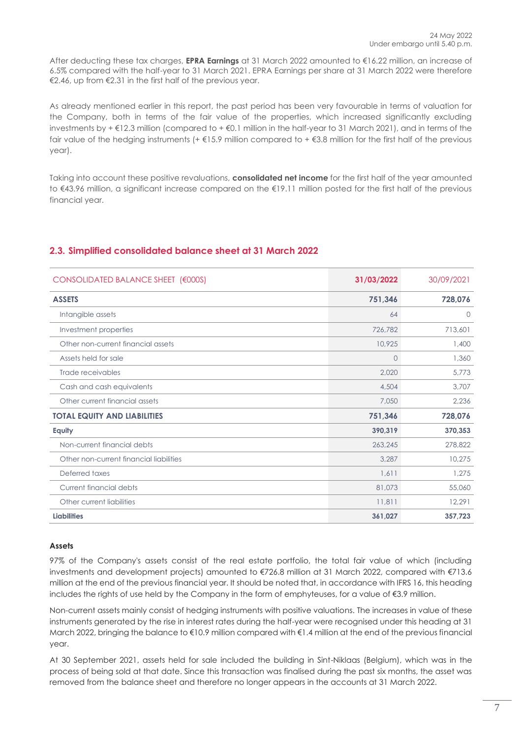After deducting these tax charges, **EPRA Earnings** at 31 March 2022 amounted to €16.22 million, an increase of 6.5% compared with the half-year to 31 March 2021. EPRA Earnings per share at 31 March 2022 were therefore €2.46, up from €2.31 in the first half of the previous year.

As already mentioned earlier in this report, the past period has been very favourable in terms of valuation for the Company, both in terms of the fair value of the properties, which increased significantly excluding investments by + €12.3 million (compared to + €0.1 million in the half-year to 31 March 2021), and in terms of the fair value of the hedging instruments (+ $\epsilon$ 15.9 million compared to + $\epsilon$ 3.8 million for the first half of the previous year).

Taking into account these positive revaluations, **consolidated net income** for the first half of the year amounted to €43.96 million, a significant increase compared on the €19.11 million posted for the first half of the previous financial year.

| CONSOLIDATED BALANCE SHEET (€000S)      | 31/03/2022 | 30/09/2021 |
|-----------------------------------------|------------|------------|
| <b>ASSETS</b>                           | 751,346    | 728,076    |
| Intangible assets                       | 64         | $\Omega$   |
| Investment properties                   | 726,782    | 713,601    |
| Other non-current financial assets      | 10,925     | 1,400      |
| Assets held for sale                    | $\circ$    | 1,360      |
| Trade receivables                       | 2,020      | 5,773      |
| Cash and cash equivalents               | 4,504      | 3,707      |
| Other current financial assets          | 7,050      | 2,236      |
| <b>TOTAL EQUITY AND LIABILITIES</b>     | 751,346    | 728,076    |
| Equity                                  | 390,319    | 370,353    |
| Non-current financial debts             | 263,245    | 278,822    |
| Other non-current financial liabilities | 3,287      | 10,275     |
| Deferred taxes                          | 1,611      | 1,275      |
| Current financial debts                 | 81,073     | 55,060     |
| Other current liabilities               | 11,811     | 12,291     |
| <b>Liabilities</b>                      | 361,027    | 357,723    |

# <span id="page-6-0"></span>**2.3. Simplified consolidated balance sheet at 31 March 2022**

#### **Assets**

97% of the Company's assets consist of the real estate portfolio, the total fair value of which (including investments and development projects) amounted to €726.8 million at 31 March 2022, compared with €713.6 million at the end of the previous financial year. It should be noted that, in accordance with IFRS 16, this heading includes the rights of use held by the Company in the form of emphyteuses, for a value of €3.9 million.

Non-current assets mainly consist of hedging instruments with positive valuations. The increases in value of these instruments generated by the rise in interest rates during the half-year were recognised under this heading at 31 March 2022, bringing the balance to €10.9 million compared with €1.4 million at the end of the previous financial year.

At 30 September 2021, assets held for sale included the building in Sint-Niklaas (Belgium), which was in the process of being sold at that date. Since this transaction was finalised during the past six months, the asset was removed from the balance sheet and therefore no longer appears in the accounts at 31 March 2022.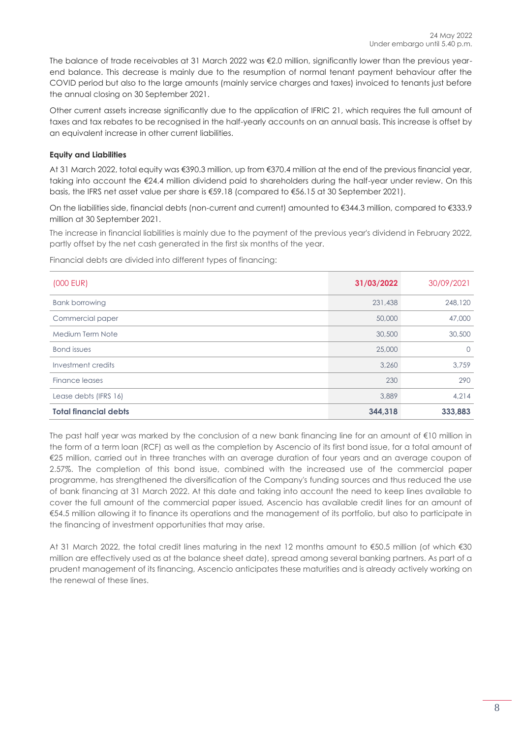The balance of trade receivables at 31 March 2022 was €2.0 million, significantly lower than the previous yearend balance. This decrease is mainly due to the resumption of normal tenant payment behaviour after the COVID period but also to the large amounts (mainly service charges and taxes) invoiced to tenants just before the annual closing on 30 September 2021.

Other current assets increase significantly due to the application of IFRIC 21, which requires the full amount of taxes and tax rebates to be recognised in the half-yearly accounts on an annual basis. This increase is offset by an equivalent increase in other current liabilities.

#### **Equity and Liabilities**

At 31 March 2022, total equity was €390.3 million, up from €370.4 million at the end of the previous financial year, taking into account the €24.4 million dividend paid to shareholders during the half-year under review. On this basis, the IFRS net asset value per share is €59.18 (compared to €56.15 at 30 September 2021).

On the liabilities side, financial debts (non-current and current) amounted to €344.3 million, compared to €333.9 million at 30 September 2021.

The increase in financial liabilities is mainly due to the payment of the previous year's dividend in February 2022, partly offset by the net cash generated in the first six months of the year.

Financial debts are divided into different types of financing:

| $(000$ EUR)                  | 31/03/2022 | 30/09/2021 |
|------------------------------|------------|------------|
| <b>Bank borrowing</b>        | 231,438    | 248,120    |
| Commercial paper             | 50,000     | 47,000     |
| Medium Term Note             | 30,500     | 30,500     |
| <b>Bond</b> issues           | 25,000     | $\Omega$   |
| Investment credits           | 3,260      | 3,759      |
| Finance leases               | 230        | 290        |
| Lease debts (IFRS 16)        | 3,889      | 4,214      |
| <b>Total financial debts</b> | 344.318    | 333,883    |

The past half year was marked by the conclusion of a new bank financing line for an amount of €10 million in the form of a term loan (RCF) as well as the completion by Ascencio of its first bond issue, for a total amount of €25 million, carried out in three tranches with an average duration of four years and an average coupon of 2.57%. The completion of this bond issue, combined with the increased use of the commercial paper programme, has strengthened the diversification of the Company's funding sources and thus reduced the use of bank financing at 31 March 2022. At this date and taking into account the need to keep lines available to cover the full amount of the commercial paper issued, Ascencio has available credit lines for an amount of €54.5 million allowing it to finance its operations and the management of its portfolio, but also to participate in the financing of investment opportunities that may arise.

At 31 March 2022, the total credit lines maturing in the next 12 months amount to €50.5 million (of which €30 million are effectively used as at the balance sheet date), spread among several banking partners. As part of a prudent management of its financing, Ascencio anticipates these maturities and is already actively working on the renewal of these lines.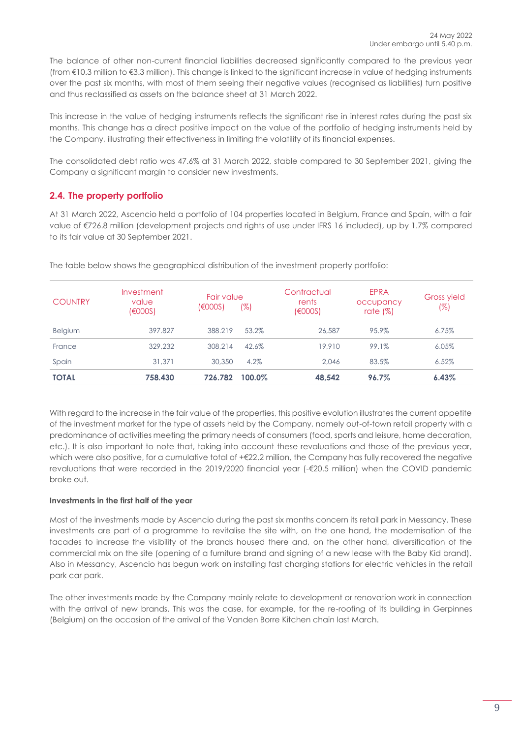The balance of other non-current financial liabilities decreased significantly compared to the previous year (from €10.3 million to €3.3 million). This change is linked to the significant increase in value of hedging instruments over the past six months, with most of them seeing their negative values (recognised as liabilities) turn positive and thus reclassified as assets on the balance sheet at 31 March 2022.

This increase in the value of hedging instruments reflects the significant rise in interest rates during the past six months. This change has a direct positive impact on the value of the portfolio of hedging instruments held by the Company, illustrating their effectiveness in limiting the volatility of its financial expenses.

The consolidated debt ratio was 47.6% at 31 March 2022, stable compared to 30 September 2021, giving the Company a significant margin to consider new investments.

# <span id="page-8-0"></span>**2.4. The property portfolio**

At 31 March 2022, Ascencio held a portfolio of 104 properties located in Belgium, France and Spain, with a fair value of €726.8 million (development projects and rights of use under IFRS 16 included), up by 1.7% compared to its fair value at 30 September 2021.

| <b>COUNTRY</b> | Investment<br>value<br>(6000S) | Fair value<br>(6000S) | (%)    | Contractual<br>rents<br>(6000S) | <b>EPRA</b><br>occupancy<br>rate $(\%)$ | <b>Gross yield</b><br>(%) |
|----------------|--------------------------------|-----------------------|--------|---------------------------------|-----------------------------------------|---------------------------|
| Belgium        | 397.827                        | 388.219               | 53.2%  | 26,587                          | 95.9%                                   | $6.75\%$                  |
| France         | 329,232                        | 308.214               | 42.6%  | 19,910                          | 99.1%                                   | 6.05%                     |
| Spain          | 31,371                         | 30,350                | 4.2%   | 2.046                           | 83.5%                                   | 6.52%                     |
| <b>TOTAL</b>   | 758.430                        | 726.782               | 100.0% | 48.542                          | 96.7%                                   | 6.43%                     |

The table below shows the geographical distribution of the investment property portfolio:

With regard to the increase in the fair value of the properties, this positive evolution illustrates the current appetite of the investment market for the type of assets held by the Company, namely out-of-town retail property with a predominance of activities meeting the primary needs of consumers (food, sports and leisure, home decoration, etc.). It is also important to note that, taking into account these revaluations and those of the previous year, which were also positive, for a cumulative total of +€22.2 million, the Company has fully recovered the negative revaluations that were recorded in the 2019/2020 financial year (-€20.5 million) when the COVID pandemic broke out.

### **Investments in the first half of the year**

Most of the investments made by Ascencio during the past six months concern its retail park in Messancy. These investments are part of a programme to revitalise the site with, on the one hand, the modernisation of the facades to increase the visibility of the brands housed there and, on the other hand, diversification of the commercial mix on the site (opening of a furniture brand and signing of a new lease with the Baby Kid brand). Also in Messancy, Ascencio has begun work on installing fast charging stations for electric vehicles in the retail park car park.

The other investments made by the Company mainly relate to development or renovation work in connection with the arrival of new brands. This was the case, for example, for the re-roofing of its building in Gerpinnes (Belgium) on the occasion of the arrival of the Vanden Borre Kitchen chain last March.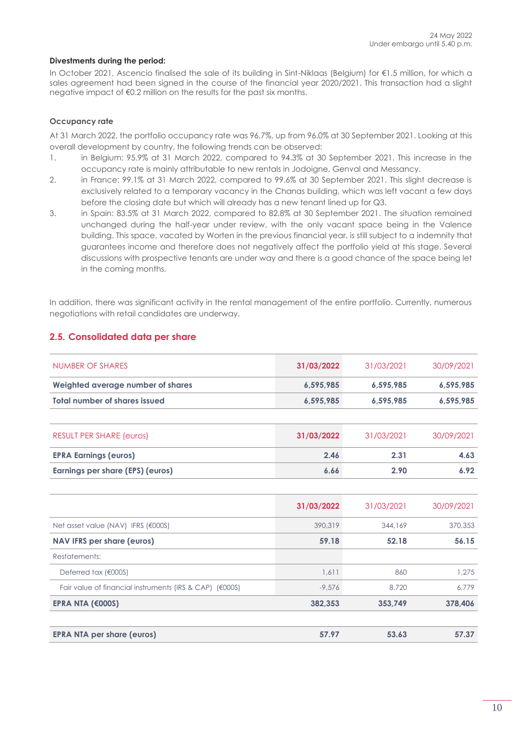#### **Divestments during the period:**

In October 2021, Ascencio finalised the sale of its building in Sint-Niklaas (Belgium) for €1.5 million, for which a sales agreement had been signed in the course of the financial year 2020/2021. This transaction had a slight negative impact of €0.2 million on the results for the past six months.

#### **Occupancy rate**

At 31 March 2022, the portfolio occupancy rate was 96.7%, up from 96.0% at 30 September 2021. Looking at this overall development by country, the following trends can be observed:

- 1. in Belgium: 95.9% at 31 March 2022, compared to 94.3% at 30 September 2021. This increase in the occupancy rate is mainly attributable to new rentals in Jodoigne, Genval and Messancy.
- 2. in France: 99.1% at 31 March 2022, compared to 99.6% at 30 September 2021. This slight decrease is exclusively related to a temporary vacancy in the Chanas building, which was left vacant a few days before the closing date but which will already has a new tenant lined up for Q3.
- 3. in Spain: 83.5% at 31 March 2022, compared to 82.8% at 30 September 2021. The situation remained unchanged during the half-year under review, with the only vacant space being in the Valence building. This space, vacated by Worten in the previous financial year, is still subject to a indemnity that guarantees income and therefore does not negatively affect the portfolio yield at this stage. Several discussions with prospective tenants are under way and there is a good chance of the space being let in the coming months.

In addition, there was significant activity in the rental management of the entire portfolio. Currently, numerous negotiations with retail candidates are underway.

| NUMBER OF SHARES                                        | 31/03/2022 | 31/03/2021 | 30/09/2021 |
|---------------------------------------------------------|------------|------------|------------|
| Weighted average number of shares                       | 6,595,985  | 6,595,985  | 6,595,985  |
| <b>Total number of shares issued</b>                    | 6,595,985  | 6,595,985  | 6,595,985  |
|                                                         |            |            |            |
| <b>RESULT PER SHARE (euros)</b>                         | 31/03/2022 | 31/03/2021 | 30/09/2021 |
| <b>EPRA Earnings (euros)</b>                            | 2.46       | 2.31       | 4.63       |
| Earnings per share (EPS) (euros)                        | 6.66       | 2.90       | 6.92       |
|                                                         |            |            |            |
|                                                         | 31/03/2022 | 31/03/2021 | 30/09/2021 |
| Net asset value (NAV) IFRS (€000S)                      | 390,319    | 344,169    | 370,353    |
| <b>NAV IFRS per share (euros)</b>                       | 59.18      | 52.18      | 56.15      |
| Restatements:                                           |            |            |            |
| Deferred tax (€000S)                                    | 1,611      | 860        | 1,275      |
| Fair value of financial instruments (IRS & CAP) (€000S) | $-9,576$   | 8,720      | 6,779      |
| EPRA NTA $(6000S)$                                      | 382,353    | 353,749    | 378,406    |
| <b>EPRA NTA per share (euros)</b>                       | 57.97      | 53.63      | 57.37      |

# <span id="page-9-0"></span>**2.5. Consolidated data per share**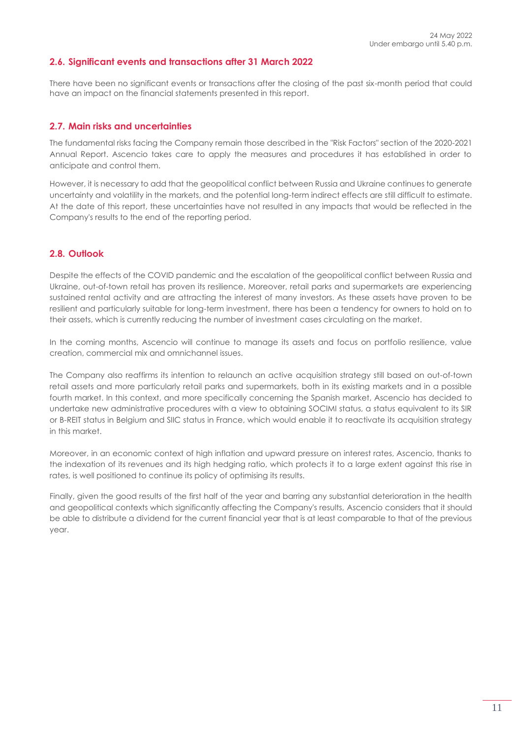### <span id="page-10-0"></span>**2.6. Significant events and transactions after 31 March 2022**

There have been no significant events or transactions after the closing of the past six-month period that could have an impact on the financial statements presented in this report.

#### <span id="page-10-1"></span>**2.7. Main risks and uncertainties**

The fundamental risks facing the Company remain those described in the "Risk Factors" section of the 2020-2021 Annual Report. Ascencio takes care to apply the measures and procedures it has established in order to anticipate and control them.

However, it is necessary to add that the geopolitical conflict between Russia and Ukraine continues to generate uncertainty and volatility in the markets, and the potential long-term indirect effects are still difficult to estimate. At the date of this report, these uncertainties have not resulted in any impacts that would be reflected in the Company's results to the end of the reporting period.

### <span id="page-10-2"></span>**2.8. Outlook**

Despite the effects of the COVID pandemic and the escalation of the geopolitical conflict between Russia and Ukraine, out-of-town retail has proven its resilience. Moreover, retail parks and supermarkets are experiencing sustained rental activity and are attracting the interest of many investors. As these assets have proven to be resilient and particularly suitable for long-term investment, there has been a tendency for owners to hold on to their assets, which is currently reducing the number of investment cases circulating on the market.

In the coming months, Ascencio will continue to manage its assets and focus on portfolio resilience, value creation, commercial mix and omnichannel issues.

The Company also reaffirms its intention to relaunch an active acquisition strategy still based on out-of-town retail assets and more particularly retail parks and supermarkets, both in its existing markets and in a possible fourth market. In this context, and more specifically concerning the Spanish market, Ascencio has decided to undertake new administrative procedures with a view to obtaining SOCIMI status, a status equivalent to its SIR or B-REIT status in Belgium and SIIC status in France, which would enable it to reactivate its acquisition strategy in this market.

Moreover, in an economic context of high inflation and upward pressure on interest rates, Ascencio, thanks to the indexation of its revenues and its high hedging ratio, which protects it to a large extent against this rise in rates, is well positioned to continue its policy of optimising its results.

Finally, given the good results of the first half of the year and barring any substantial deterioration in the health and geopolitical contexts which significantly affecting the Company's results, Ascencio considers that it should be able to distribute a dividend for the current financial year that is at least comparable to that of the previous year.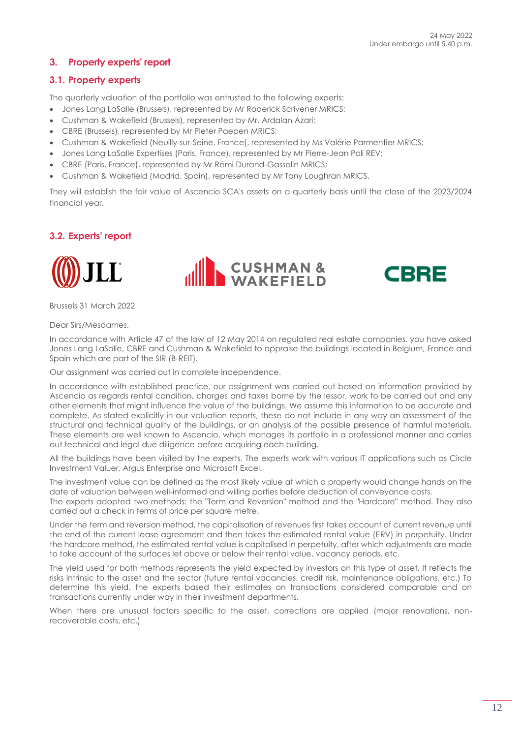# <span id="page-11-0"></span>**3. Property experts' report**

### <span id="page-11-1"></span>**3.1. Property experts**

The quarterly valuation of the portfolio was entrusted to the following experts:

- Jones Lang LaSalle (Brussels), represented by Mr Roderick Scrivener MRICS;
- Cushman & Wakefield (Brussels), represented by Mr. Ardalan Azari;
- CBRE (Brussels), represented by Mr Pieter Paepen MRICS;
- Cushman & Wakefield (Neuilly-sur-Seine, France), represented by Ms Valérie Parmentier MRICS;
- Jones Lang LaSalle Expertises (Paris, France), represented by Mr Pierre-Jean Poli REV;
- CBRE (Paris, France), represented by Mr Rémi Durand-Gasselin MRICS;
- Cushman & Wakefield (Madrid, Spain), represented by Mr Tony Loughran MRICS.

They will establish the fair value of Ascencio SCA's assets on a quarterly basis until the close of the 2023/2024 financial year.

# <span id="page-11-2"></span>**3.2. Experts' report**







Brussels 31 March 2022

Dear Sirs/Mesdames,

In accordance with Article 47 of the law of 12 May 2014 on regulated real estate companies, you have asked Jones Lang LaSalle, CBRE and Cushman & Wakefield to appraise the buildings located in Belgium, France and Spain which are part of the SIR (B-REIT).

Our assignment was carried out in complete independence.

In accordance with established practice, our assignment was carried out based on information provided by Ascencio as regards rental condition, charges and taxes borne by the lessor, work to be carried out and any other elements that might influence the value of the buildings. We assume this information to be accurate and complete. As stated explicitly in our valuation reports, these do not include in any way an assessment of the structural and technical quality of the buildings, or an analysis of the possible presence of harmful materials. These elements are well known to Ascencio, which manages its portfolio in a professional manner and carries out technical and legal due diligence before acquiring each building.

All the buildings have been visited by the experts. The experts work with various IT applications such as Circle Investment Valuer, Argus Enterprise and Microsoft Excel.

The investment value can be defined as the most likely value at which a property would change hands on the date of valuation between well-informed and willing parties before deduction of conveyance costs.

The experts adopted two methods: the "Term and Reversion" method and the "Hardcore" method. They also carried out a check in terms of price per square metre.

Under the term and reversion method, the capitalisation of revenues first takes account of current revenue until the end of the current lease agreement and then takes the estimated rental value (ERV) in perpetuity. Under the hardcore method, the estimated rental value is capitalised in perpetuity, after which adjustments are made to take account of the surfaces let above or below their rental value, vacancy periods, etc.

The yield used for both methods represents the yield expected by investors on this type of asset. It reflects the risks intrinsic to the asset and the sector (future rental vacancies, credit risk, maintenance obligations, etc.) To determine this yield, the experts based their estimates on transactions considered comparable and on transactions currently under way in their investment departments.

When there are unusual factors specific to the asset, corrections are applied (major renovations, nonrecoverable costs, etc.)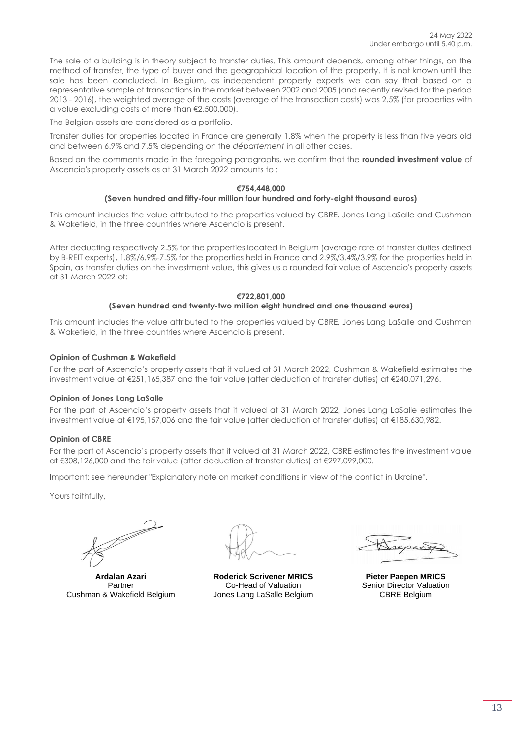The sale of a building is in theory subject to transfer duties. This amount depends, among other things, on the method of transfer, the type of buyer and the geographical location of the property. It is not known until the sale has been concluded. In Belgium, as independent property experts we can say that based on a representative sample of transactions in the market between 2002 and 2005 (and recently revised for the period 2013 - 2016), the weighted average of the costs (average of the transaction costs) was 2.5% (for properties with a value excluding costs of more than €2,500,000).

The Belgian assets are considered as a portfolio.

Transfer duties for properties located in France are generally 1.8% when the property is less than five years old and between 6.9% and 7.5% depending on the *département* in all other cases.

Based on the comments made in the foregoing paragraphs, we confirm that the **rounded investment value** of Ascencio's property assets as at 31 March 2022 amounts to :

#### **€754,448,000**

#### **(Seven hundred and fifty-four million four hundred and forty-eight thousand euros)**

This amount includes the value attributed to the properties valued by CBRE, Jones Lang LaSalle and Cushman & Wakefield, in the three countries where Ascencio is present.

After deducting respectively 2.5% for the properties located in Belgium (average rate of transfer duties defined by B-REIT experts), 1.8%/6.9%-7.5% for the properties held in France and 2.9%/3.4%/3.9% for the properties held in Spain, as transfer duties on the investment value, this gives us a rounded fair value of Ascencio's property assets at 31 March 2022 of:

#### **€722,801,000 (Seven hundred and twenty-two million eight hundred and one thousand euros)**

This amount includes the value attributed to the properties valued by CBRE, Jones Lang LaSalle and Cushman & Wakefield, in the three countries where Ascencio is present.

#### **Opinion of Cushman & Wakefield**

For the part of Ascencio's property assets that it valued at 31 March 2022, Cushman & Wakefield estimates the investment value at €251,165,387 and the fair value (after deduction of transfer duties) at €240,071,296.

#### **Opinion of Jones Lang LaSalle**

For the part of Ascencio's property assets that it valued at 31 March 2022, Jones Lang LaSalle estimates the investment value at €195,157,006 and the fair value (after deduction of transfer duties) at €185,630,982.

#### **Opinion of CBRE**

For the part of Ascencio's property assets that it valued at 31 March 2022, CBRE estimates the investment value at €308,126,000 and the fair value (after deduction of transfer duties) at €297,099,000.

Important: see hereunder "Explanatory note on market conditions in view of the conflict in Ukraine".

Yours faithfully,

J

**Ardalan Azari** Partner Cushman & Wakefield Belgium

**Roderick Scrivener MRICS** Co-Head of Valuation Jones Lang LaSalle Belgium

**Pieter Paepen MRICS** Senior Director Valuation CBRE Belgium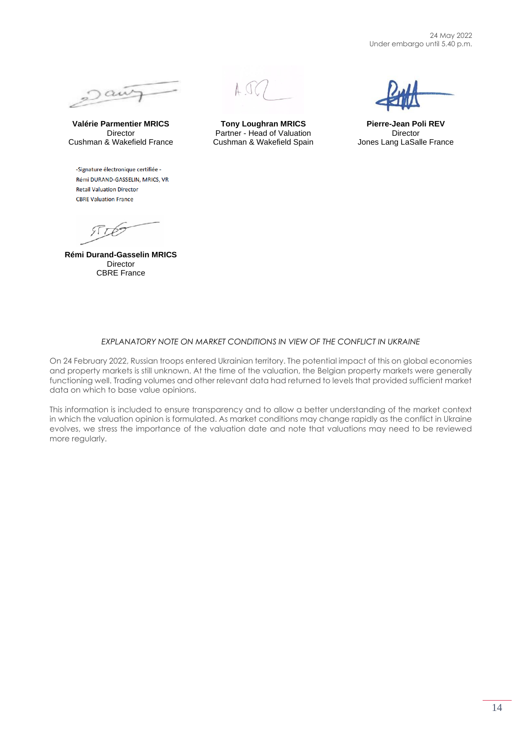24 May 2022 Under embargo until 5.40 p.m.



**Valérie Parmentier MRICS** Director Cushman & Wakefield France

-Signature électronique certifiée -Rémi DURAND-GASSELIN, MRICS, VR **Retail Valuation Director CBRE Valuation France** 

 $STP2$ 

**Rémi Durand-Gasselin MRICS** Director CBRE France



**Tony Loughran MRICS** Partner - Head of Valuation Cushman & Wakefield Spain

**Pierre-Jean Poli REV Director** Jones Lang LaSalle France

#### *EXPLANATORY NOTE ON MARKET CONDITIONS IN VIEW OF THE CONFLICT IN UKRAINE*

On 24 February 2022, Russian troops entered Ukrainian territory. The potential impact of this on global economies and property markets is still unknown. At the time of the valuation, the Belgian property markets were generally functioning well. Trading volumes and other relevant data had returned to levels that provided sufficient market data on which to base value opinions.

This information is included to ensure transparency and to allow a better understanding of the market context in which the valuation opinion is formulated. As market conditions may change rapidly as the conflict in Ukraine evolves, we stress the importance of the valuation date and note that valuations may need to be reviewed more regularly.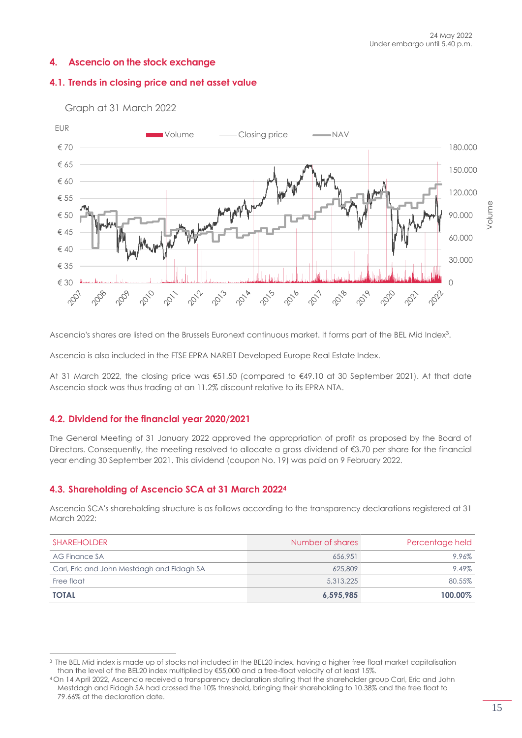# <span id="page-14-0"></span>**4. Ascencio on the stock exchange**

# <span id="page-14-1"></span>**4.1. Trends in closing price and net asset value**



Graph at 31 March 2022

Ascencio's shares are listed on the Brussels Euronext continuous market. It forms part of the BEL Mid Index<sup>3</sup>.

Ascencio is also included in the FTSE EPRA NAREIT Developed Europe Real Estate Index.

At 31 March 2022, the closing price was €51.50 (compared to €49.10 at 30 September 2021). At that date Ascencio stock was thus trading at an 11.2% discount relative to its EPRA NTA.

### <span id="page-14-2"></span>**4.2. Dividend for the financial year 2020/2021**

The General Meeting of 31 January 2022 approved the appropriation of profit as proposed by the Board of Directors. Consequently, the meeting resolved to allocate a gross dividend of €3.70 per share for the financial year ending 30 September 2021. This dividend (coupon No. 19) was paid on 9 February 2022.

### <span id="page-14-3"></span>**4.3. Shareholding of Ascencio SCA at 31 March 2022<sup>4</sup>**

Ascencio SCA's shareholding structure is as follows according to the transparency declarations registered at 31 March 2022:

| <b>SHAREHOLDER</b>                         | Number of shares | Percentage held |
|--------------------------------------------|------------------|-----------------|
| AG Finance SA                              | 656,951          | 9.96%           |
| Carl, Eric and John Mestdagh and Fidagh SA | 625,809          | 9.49%           |
| Free float                                 | 5.313.225        | 80.55%          |
| <b>TOTAL</b>                               | 6,595,985        | 100.00%         |

<sup>3</sup> The BEL Mid index is made up of stocks not included in the BEL20 index, having a higher free float market capitalisation than the level of the BEL20 index multiplied by €55,000 and a free-float velocity of at least 15%.

<sup>4</sup> On 14 April 2022, Ascencio received a transparency declaration stating that the shareholder group Carl, Eric and John Mestdagh and Fidagh SA had crossed the 10% threshold, bringing their shareholding to 10.38% and the free float to 79.66% at the declaration date.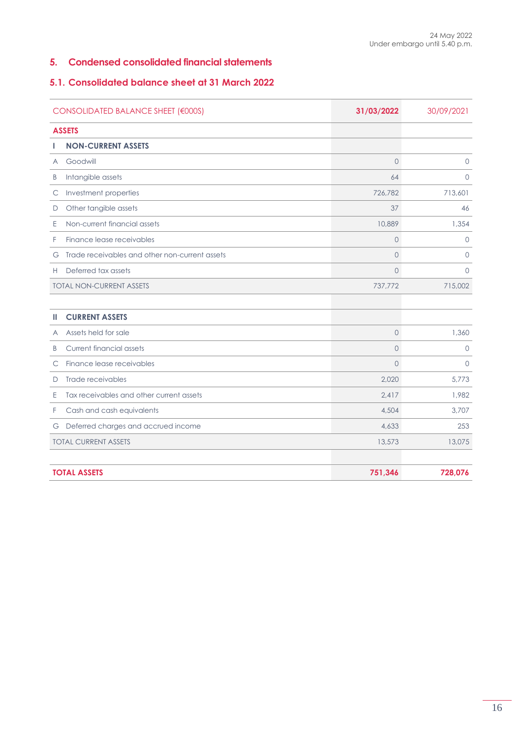### <span id="page-15-0"></span>**5. Condensed consolidated financial statements**

### <span id="page-15-1"></span>**5.1. Consolidated balance sheet at 31 March 2022**

|              | CONSOLIDATED BALANCE SHEET (€000S)             | 31/03/2022     | 30/09/2021 |
|--------------|------------------------------------------------|----------------|------------|
|              | <b>ASSETS</b>                                  |                |            |
|              | <b>NON-CURRENT ASSETS</b>                      |                |            |
| A            | Goodwill                                       | $\circ$        | $\Omega$   |
| B            | Intangible assets                              | 64             | $\Omega$   |
| $\mathsf{C}$ | Investment properties                          | 726,782        | 713,601    |
| D            | Other tangible assets                          | 37             | 46         |
| Ε            | Non-current financial assets                   | 10,889         | 1,354      |
| F            | Finance lease receivables                      | $\circ$        | $\Omega$   |
| G            | Trade receivables and other non-current assets | $\circ$        | $\Omega$   |
| Н            | Deferred tax assets                            | $\mathbf 0$    | $\circ$    |
|              | <b>TOTAL NON-CURRENT ASSETS</b>                | 737,772        | 715,002    |
|              |                                                |                |            |
| ш            | <b>CURRENT ASSETS</b>                          |                |            |
| A            | Assets held for sale                           | $\mathbf 0$    | 1,360      |
| B            | Current financial assets                       | $\overline{O}$ | $\circ$    |
| С            | Finance lease receivables                      | $\mathbf 0$    | $\circ$    |
| D            | Trade receivables                              | 2,020          | 5,773      |
| Ε            | Tax receivables and other current assets       | 2.417          | 1,982      |
| F            | Cash and cash equivalents                      | 4,504          | 3,707      |
| G            | Deferred charges and accrued income            | 4,633          | 253        |
|              | <b>TOTAL CURRENT ASSETS</b>                    | 13,573         | 13,075     |
|              |                                                |                |            |
|              | <b>TOTAL ASSETS</b>                            | 751,346        | 728,076    |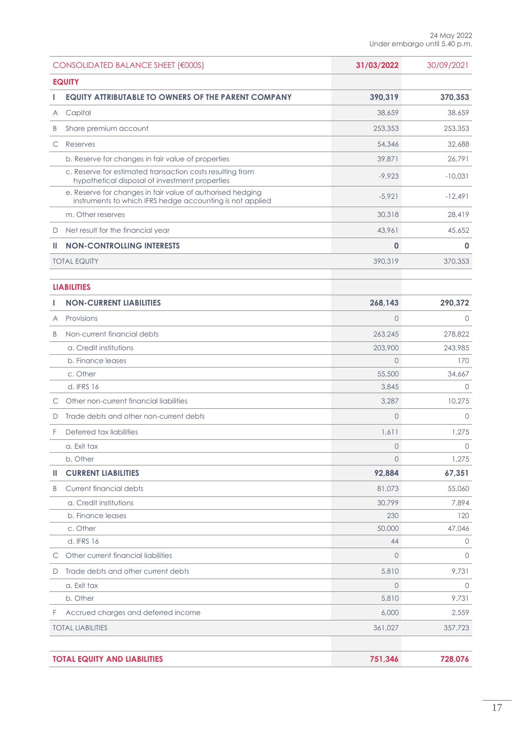|   | CONSOLIDATED BALANCE SHEET (€000S)                                                                                      | 31/03/2022     | 30/09/2021  |
|---|-------------------------------------------------------------------------------------------------------------------------|----------------|-------------|
|   | <b>EQUITY</b>                                                                                                           |                |             |
|   | <b>EQUITY ATTRIBUTABLE TO OWNERS OF THE PARENT COMPANY</b>                                                              | 390,319        | 370,353     |
| Α | Capital                                                                                                                 | 38,659         | 38,659      |
| B | Share premium account                                                                                                   | 253,353        | 253,353     |
| С | Reserves                                                                                                                | 54,346         | 32,688      |
|   | b. Reserve for changes in fair value of properties                                                                      | 39,871         | 26,791      |
|   | c. Reserve for estimated transaction costs resulting from<br>hypothetical disposal of investment properties             | $-9.923$       | $-10,031$   |
|   | e. Reserve for changes in fair value of authorised hedging<br>instruments to which IFRS hedge accounting is not applied | $-5,921$       | $-12,491$   |
|   | m. Other reserves                                                                                                       | 30,318         | 28,419      |
| D | Net result for the financial year                                                                                       | 43,961         | 45,652      |
| ш | <b>NON-CONTROLLING INTERESTS</b>                                                                                        | $\mathbf 0$    | $\mathbf 0$ |
|   | <b>TOTAL EQUITY</b>                                                                                                     | 390,319        | 370,353     |
|   | <b>LIABILITIES</b>                                                                                                      |                |             |
|   | <b>NON-CURRENT LIABILITIES</b>                                                                                          | 268,143        | 290,372     |
| A | Provisions                                                                                                              | $\overline{0}$ | $\circ$     |
| B | Non-current financial debts                                                                                             | 263,245        | 278,822     |
|   | a. Credit institutions                                                                                                  | 203,900        | 243,985     |
|   | b. Finance leases                                                                                                       | $\overline{O}$ | 170         |
|   | c. Other                                                                                                                | 55,500         | 34,667      |
|   | d. IFRS 16                                                                                                              | 3,845          | $\circ$     |
| С | Other non-current financial liabilities                                                                                 | 3,287          | 10,275      |
| D | Trade debts and other non-current debts                                                                                 | $\circ$        | $\Omega$    |
| F | Deferred tax liabilities                                                                                                | 1,611          | 1,275       |
|   | a. Exit tax                                                                                                             | $\circ$        | $\circ$     |
|   | b. Other                                                                                                                | $\circ$        | 1,275       |
| ш | <b>CURRENT LIABILITIES</b>                                                                                              | 92,884         | 67,351      |
| B | Current financial debts                                                                                                 | 81,073         | 55,060      |
|   | a. Credit institutions                                                                                                  | 30,799         | 7,894       |
|   | b. Finance leases                                                                                                       | 230            | 120         |
|   | c. Other                                                                                                                | 50,000         | 47,046      |
|   | d. IFRS 16                                                                                                              | 44             | $\circ$     |
| С | Other current financial liabilities                                                                                     | $\circ$        | $\circ$     |
| D | Trade debts and other current debts                                                                                     | 5,810          | 9,731       |
|   | a. Exit tax                                                                                                             | $\mathbf 0$    | $\circ$     |
|   | b. Other                                                                                                                | 5,810          | 9,731       |
| F | Accrued charges and deferred income                                                                                     | 6,000          | 2,559       |
|   | <b>TOTAL LIABILITIES</b>                                                                                                | 361,027        | 357,723     |
|   | <b>TOTAL EQUITY AND LIABILITIES</b>                                                                                     | 751,346        | 728,076     |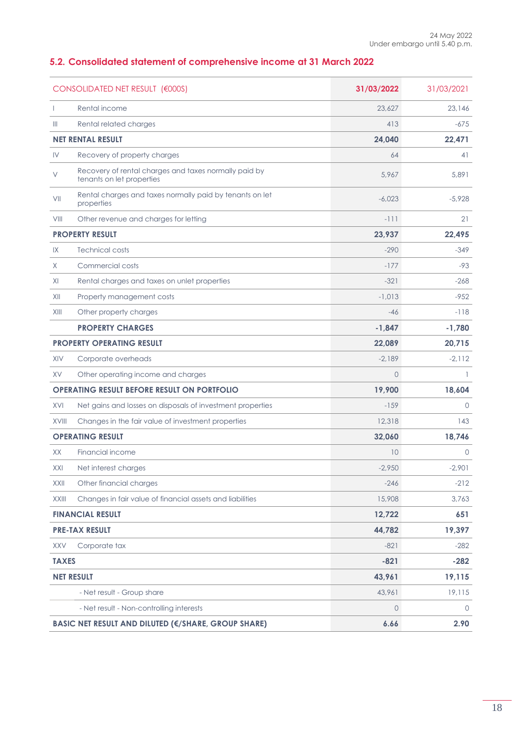# <span id="page-17-0"></span>**5.2. Consolidated statement of comprehensive income at 31 March 2022**

| CONSOLIDATED NET RESULT (€000S) |                                                                                    | 31/03/2022 | 31/03/2021 |
|---------------------------------|------------------------------------------------------------------------------------|------------|------------|
|                                 | Rental income                                                                      | 23,627     | 23,146     |
| Ш                               | Rental related charges                                                             | 413        | $-675$     |
|                                 | <b>NET RENTAL RESULT</b>                                                           | 24,040     | 22,471     |
| IV                              | Recovery of property charges                                                       | 64         | 41         |
| V                               | Recovery of rental charges and taxes normally paid by<br>tenants on let properties | 5.967      | 5,891      |
| VII                             | Rental charges and taxes normally paid by tenants on let<br>properties             | $-6,023$   | $-5,928$   |
| VIII                            | Other revenue and charges for letting                                              | $-111$     | 21         |
|                                 | <b>PROPERTY RESULT</b>                                                             | 23,937     | 22,495     |
| IX                              | <b>Technical costs</b>                                                             | $-290$     | $-349$     |
| X                               | Commercial costs                                                                   | $-177$     | -93        |
| XI                              | Rental charges and taxes on unlet properties                                       | $-321$     | $-268$     |
| XII                             | Property management costs                                                          | $-1,013$   | $-952$     |
| XIII                            | Other property charges                                                             | $-46$      | $-118$     |
|                                 | <b>PROPERTY CHARGES</b>                                                            | $-1,847$   | $-1,780$   |
|                                 | <b>PROPERTY OPERATING RESULT</b>                                                   | 22,089     | 20,715     |
| XIV                             | Corporate overheads                                                                | $-2,189$   | $-2,112$   |
| <b>XV</b>                       | Other operating income and charges                                                 | $\circ$    | -1         |
|                                 | <b>OPERATING RESULT BEFORE RESULT ON PORTFOLIO</b>                                 | 19,900     | 18,604     |
| XVI                             | Net gains and losses on disposals of investment properties                         | $-159$     | $\circ$    |
| XVIII                           | Changes in the fair value of investment properties                                 | 12,318     | 143        |
|                                 | <b>OPERATING RESULT</b>                                                            | 32,060     | 18,746     |
| XX                              | Financial income                                                                   | 10         | $\circ$    |
| XXI                             | Net interest charges                                                               | $-2.950$   | $-2,901$   |
| XXII                            | Other financial charges                                                            | $-246$     | $-212$     |
| XXIII                           | Changes in fair value of financial assets and liabilities                          | 15,908     | 3,763      |
|                                 | <b>FINANCIAL RESULT</b>                                                            | 12,722     | 651        |
|                                 | <b>PRE-TAX RESULT</b>                                                              | 44,782     | 19,397     |
| <b>XXV</b>                      | Corporate tax                                                                      | $-821$     | $-282$     |
| <b>TAXES</b>                    |                                                                                    | $-821$     | $-282$     |
|                                 | <b>NET RESULT</b>                                                                  | 43,961     | 19,115     |
|                                 | - Net result - Group share                                                         | 43,961     | 19,115     |
|                                 | - Net result - Non-controlling interests                                           | $\circ$    | 0          |
|                                 | <b>BASIC NET RESULT AND DILUTED (€/SHARE, GROUP SHARE)</b>                         | 6.66       | 2.90       |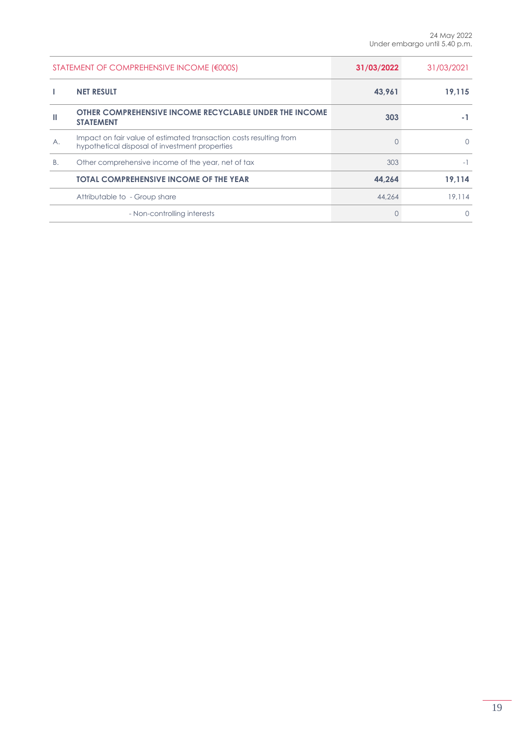| STATEMENT OF COMPREHENSIVE INCOME (€000S) |                                                                                                                      | 31/03/2022 | 31/03/2021   |
|-------------------------------------------|----------------------------------------------------------------------------------------------------------------------|------------|--------------|
|                                           | <b>NET RESULT</b>                                                                                                    | 43,961     | 19.115       |
|                                           | <b>OTHER COMPREHENSIVE INCOME RECYCLABLE UNDER THE INCOME</b><br><b>STATEMENT</b>                                    | 303        |              |
| Α.                                        | Impact on fair value of estimated transaction costs resulting from<br>hypothetical disposal of investment properties |            | <sup>n</sup> |
| <b>B.</b>                                 | Other comprehensive income of the year, net of tax                                                                   | 303        |              |
|                                           | <b>TOTAL COMPREHENSIVE INCOME OF THE YEAR</b>                                                                        | 44.264     | 19.114       |
|                                           | Attributable to - Group share                                                                                        | 44.264     | 19.114       |
|                                           | - Non-controlling interests                                                                                          |            | n            |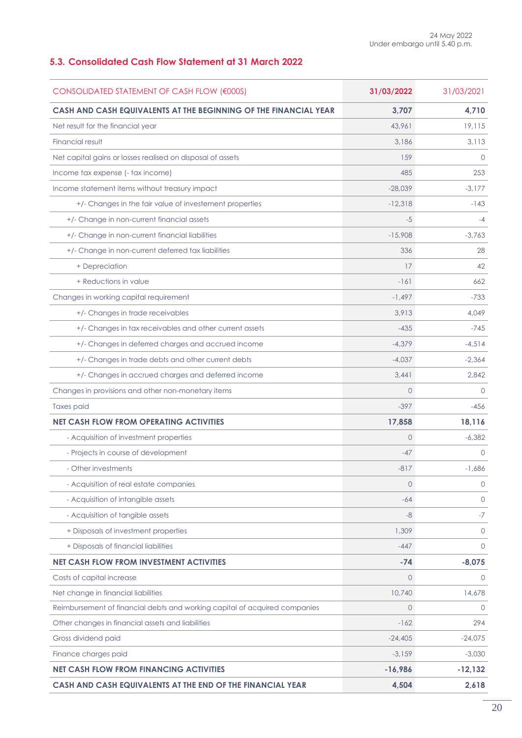# <span id="page-19-0"></span>**5.3. Consolidated Cash Flow Statement at 31 March 2022**

| CONSOLIDATED STATEMENT OF CASH FLOW (€000S)                                | 31/03/2022     | 31/03/2021   |
|----------------------------------------------------------------------------|----------------|--------------|
| CASH AND CASH EQUIVALENTS AT THE BEGINNING OF THE FINANCIAL YEAR           | 3,707          | 4,710        |
| Net result for the financial year                                          | 43,961         | 19,115       |
| Financial result                                                           | 3,186          | 3,113        |
| Net capital gains or losses realised on disposal of assets                 | 159            | $\Omega$     |
| Income tax expense (- tax income)                                          | 485            | 253          |
| Income statement items without treasury impact                             | $-28,039$      | $-3,177$     |
| +/- Changes in the fair value of investement properties                    | $-12,318$      | $-143$       |
| +/- Change in non-current financial assets                                 | -5             | $-4$         |
| +/- Change in non-current financial liabilities                            | $-15,908$      | $-3,763$     |
| +/- Change in non-current deferred tax liabilities                         | 336            | 28           |
| + Depreciation                                                             | 17             | 42           |
| + Reductions in value                                                      | $-161$         | 662          |
| Changes in working capital requirement                                     | $-1.497$       | $-733$       |
| +/- Changes in trade receivables                                           | 3,913          | 4,049        |
| +/- Changes in tax receivables and other current assets                    | $-435$         | $-745$       |
| +/- Changes in deferred charges and accrued income                         | $-4,379$       | $-4,514$     |
| +/- Changes in trade debts and other current debts                         | $-4,037$       | $-2,364$     |
| +/- Changes in accrued charges and deferred income                         | 3,441          | 2,842        |
| Changes in provisions and other non-monetary items                         | $\Omega$       | $\Omega$     |
| Taxes paid                                                                 | $-397$         | $-456$       |
| <b>NET CASH FLOW FROM OPERATING ACTIVITIES</b>                             | 17,858         | 18,116       |
| - Acquisition of investment properties                                     | $\Omega$       | $-6,382$     |
| - Projects in course of development                                        | $-47$          | $\Omega$     |
| - Other investments                                                        | $-817$         | $-1,686$     |
| - Acquisition of real estate companies                                     | $\mathbf 0$    | $\mathbf 0$  |
| - Acquisition of intangible assets                                         | $-64$          | $\circ$      |
| - Acquisition of tangible assets                                           | -8             | $-7$         |
| + Disposals of investment properties                                       | 1,309          | $\mathbf{0}$ |
| + Disposals of financial liabilities                                       | $-447$         | $\Omega$     |
| <b>NET CASH FLOW FROM INVESTMENT ACTIVITIES</b>                            | $-74$          | $-8,075$     |
| Costs of capital increase                                                  | $\overline{0}$ | $\Omega$     |
| Net change in financial liabilities                                        | 10,740         | 14,678       |
| Reimbursement of financial debts and working capital of acquired companies | $\circ$        | $\circ$      |
| Other changes in financial assets and liabilities                          | $-162$         | 294          |
| Gross dividend paid                                                        | $-24,405$      | $-24,075$    |
| Finance charges paid                                                       | $-3,159$       | $-3,030$     |
| <b>NET CASH FLOW FROM FINANCING ACTIVITIES</b>                             | $-16,986$      | $-12,132$    |
| CASH AND CASH EQUIVALENTS AT THE END OF THE FINANCIAL YEAR                 | 4,504          | 2,618        |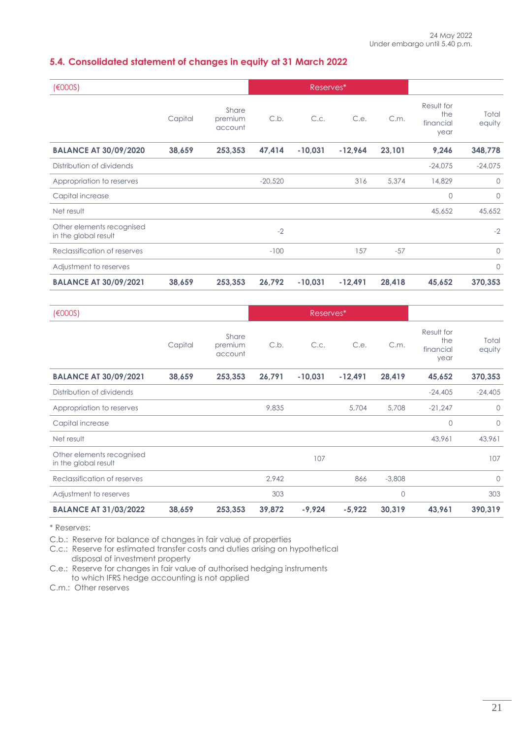# <span id="page-20-0"></span>**5.4. Consolidated statement of changes in equity at 31 March 2022**

| (6000S)                                           |         |                             | Reserves* |           |           |        |                                        |                 |
|---------------------------------------------------|---------|-----------------------------|-----------|-----------|-----------|--------|----------------------------------------|-----------------|
|                                                   | Capital | Share<br>premium<br>account | C.b.      | C.c.      | C.e.      | C.m.   | Result for<br>the<br>financial<br>year | Total<br>equity |
| <b>BALANCE AT 30/09/2020</b>                      | 38,659  | 253,353                     | 47,414    | $-10,031$ | $-12,964$ | 23,101 | 9,246                                  | 348,778         |
| Distribution of dividends                         |         |                             |           |           |           |        | $-24,075$                              | $-24,075$       |
| Appropriation to reserves                         |         |                             | $-20,520$ |           | 316       | 5,374  | 14,829                                 | $\circ$         |
| Capital increase                                  |         |                             |           |           |           |        | $\circ$                                | $\circ$         |
| Net result                                        |         |                             |           |           |           |        | 45,652                                 | 45,652          |
| Other elements recognised<br>in the global result |         |                             | $-2$      |           |           |        |                                        | $-2$            |
| Reclassification of reserves                      |         |                             | $-100$    |           | 157       | $-57$  |                                        | $\Omega$        |
| Adjustment to reserves                            |         |                             |           |           |           |        |                                        | $\circ$         |
| <b>BALANCE AT 30/09/2021</b>                      | 38,659  | 253,353                     | 26,792    | $-10,031$ | $-12,491$ | 28,418 | 45,652                                 | 370,353         |

| (6000S)                                           |         |                             | Reserves* |           |           |          |                                        |                 |
|---------------------------------------------------|---------|-----------------------------|-----------|-----------|-----------|----------|----------------------------------------|-----------------|
|                                                   | Capital | Share<br>premium<br>account | C.b.      | C.c.      | C.e.      | C.m.     | Result for<br>the<br>financial<br>year | Total<br>equity |
| <b>BALANCE AT 30/09/2021</b>                      | 38,659  | 253,353                     | 26,791    | $-10,031$ | $-12,491$ | 28,419   | 45,652                                 | 370,353         |
| Distribution of dividends                         |         |                             |           |           |           |          | $-24,405$                              | $-24,405$       |
| Appropriation to reserves                         |         |                             | 9,835     |           | 5,704     | 5,708    | $-21,247$                              | $\circ$         |
| Capital increase                                  |         |                             |           |           |           |          | $\circ$                                | $\circ$         |
| Net result                                        |         |                             |           |           |           |          | 43,961                                 | 43,961          |
| Other elements recognised<br>in the global result |         |                             |           | 107       |           |          |                                        | 107             |
| Reclassification of reserves                      |         |                             | 2,942     |           | 866       | $-3,808$ |                                        | $\Omega$        |
| Adjustment to reserves                            |         |                             | 303       |           |           | 0        |                                        | 303             |
| <b>BALANCE AT 31/03/2022</b>                      | 38,659  | 253,353                     | 39,872    | $-9,924$  | $-5,922$  | 30,319   | 43,961                                 | 390,319         |

\* Reserves:

C.b.: Reserve for balance of changes in fair value of properties

C.c.: Reserve for estimated transfer costs and duties arising on hypothetical

disposal of investment property

C.e.: Reserve for changes in fair value of authorised hedging instruments to which IFRS hedge accounting is not applied

C.m.: Other reserves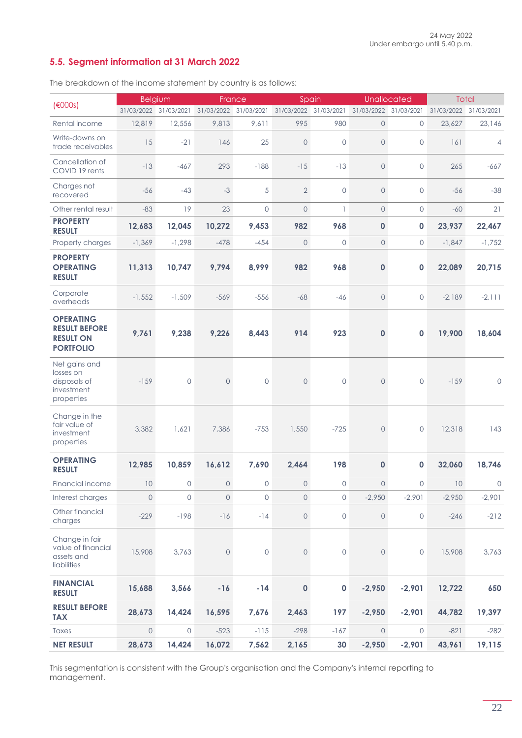# <span id="page-21-0"></span>**5.5. Segment information at 31 March 2022**

The breakdown of the income statement by country is as follows:

|                                                                                  |          | <b>Belgium</b>        |                       | France       |                       | Spain          | Unallocated    |                       | Total      |                |
|----------------------------------------------------------------------------------|----------|-----------------------|-----------------------|--------------|-----------------------|----------------|----------------|-----------------------|------------|----------------|
| (6000s)                                                                          |          | 31/03/2022 31/03/2021 | 31/03/2022 31/03/2021 |              | 31/03/2022 31/03/2021 |                |                | 31/03/2022 31/03/2021 | 31/03/2022 | 31/03/2021     |
| Rental income                                                                    | 12,819   | 12,556                | 9,813                 | 9,611        | 995                   | 980            | $\overline{0}$ | $\circ$               | 23,627     | 23,146         |
| Write-downs on<br>trade receivables                                              | 15       | $-21$                 | 146                   | 25           | $\mathbf 0$           | $\overline{0}$ | $\overline{0}$ | $\circ$               | 161        | $\overline{4}$ |
| Cancellation of<br>COVID 19 rents                                                | $-13$    | $-467$                | 293                   | $-188$       | $-15$                 | $-13$          | $\mathbf 0$    | $\mathbf 0$           | 265        | $-667$         |
| Charges not<br>recovered                                                         | $-56$    | $-43$                 | $-3$                  | 5            | $\overline{2}$        | $\circ$        | $\mathbf 0$    | $\mathbf 0$           | $-56$      | $-38$          |
| Other rental result                                                              | $-83$    | 19                    | 23                    | $\circ$      | $\mathbf 0$           | $\mathbf{1}$   | $\overline{0}$ | $\circ$               | $-60$      | 21             |
| <b>PROPERTY</b><br><b>RESULT</b>                                                 | 12,683   | 12,045                | 10,272                | 9,453        | 982                   | 968            | $\mathbf 0$    | $\mathbf 0$           | 23,937     | 22,467         |
| Property charges                                                                 | $-1,369$ | $-1,298$              | $-478$                | $-454$       | $\mathbf 0$           | $\circ$        | $\overline{0}$ | $\circ$               | $-1,847$   | $-1,752$       |
| <b>PROPERTY</b><br><b>OPERATING</b><br><b>RESULT</b>                             | 11,313   | 10,747                | 9,794                 | 8,999        | 982                   | 968            | $\mathbf 0$    | 0                     | 22,089     | 20,715         |
| Corporate<br>overheads                                                           | $-1,552$ | $-1,509$              | $-569$                | $-556$       | $-68$                 | $-46$          | $\overline{0}$ | 0                     | $-2,189$   | $-2, 111$      |
| <b>OPERATING</b><br><b>RESULT BEFORE</b><br><b>RESULT ON</b><br><b>PORTFOLIO</b> | 9,761    | 9,238                 | 9,226                 | 8,443        | 914                   | 923            | 0              | 0                     | 19,900     | 18,604         |
| Net gains and<br>losses on<br>disposals of<br>investment<br>properties           | $-159$   | $\circ$               | $\circ$               | $\circ$      | $\mathbf 0$           | $\overline{0}$ | $\Omega$       | $\mathbf 0$           | $-159$     | $\circ$        |
| Change in the<br>fair value of<br>investment<br>properties                       | 3,382    | 1,621                 | 7,386                 | $-753$       | 1,550                 | $-725$         | $\overline{0}$ | $\mathbf 0$           | 12,318     | 143            |
| <b>OPERATING</b><br><b>RESULT</b>                                                | 12,985   | 10,859                | 16,612                | 7,690        | 2,464                 | 198            | $\mathbf{0}$   | 0                     | 32,060     | 18,746         |
| Financial income                                                                 | 10       | $\circ$               | $\overline{O}$        | $\circ$      | $\circ$               | $\circ$        | $\circ$        | $\Omega$              | 10         | $\circledcirc$ |
| Interest charges                                                                 | $\circ$  | 0                     | $\mathbf 0$           | $\circ$      | 0                     | $\circ$        | $-2,950$       | $-2,901$              | $-2,950$   | $-2,901$       |
| Other financial<br>charges                                                       | $-229$   | $-198$                | $-16$                 | $-14$        | $\mathsf{O}\xspace$   | $\circ$        | 0              | $\circ$               | $-246$     | $-212$         |
| Change in fair<br>value of financial<br>assets and<br>liabilities                | 15,908   | 3,763                 | $\mathsf{O}$          | $\mathsf{O}$ | 0                     | $\circ$        | $\circ$        | $\mathsf{O}\xspace$   | 15,908     | 3,763          |
| <b>FINANCIAL</b><br><b>RESULT</b>                                                | 15,688   | 3,566                 | $-16$                 | $-14$        | $\pmb{0}$             | $\pmb{0}$      | $-2,950$       | $-2,901$              | 12,722     | 650            |
| <b>RESULT BEFORE</b><br><b>TAX</b>                                               | 28,673   | 14,424                | 16,595                | 7,676        | 2,463                 | 197            | $-2,950$       | $-2,901$              | 44,782     | 19,397         |
| Taxes                                                                            | $\circ$  | $\circ$               | $-523$                | $-115$       | $-298$                | $-167$         | $\circ$        | $\mathsf{O}$          | $-821$     | $-282$         |
| <b>NET RESULT</b>                                                                | 28,673   | 14,424                | 16,072                | 7,562        | 2,165                 | 30             | $-2,950$       | $-2,901$              | 43,961     | 19,115         |

This segmentation is consistent with the Group's organisation and the Company's internal reporting to management.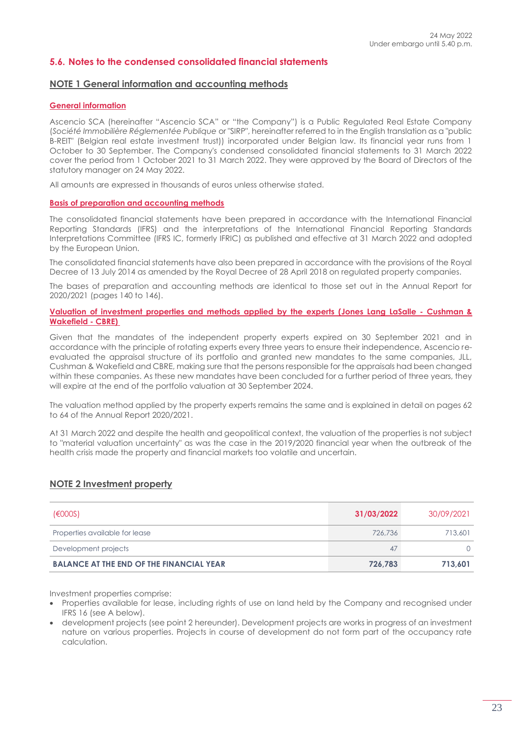### <span id="page-22-0"></span>**5.6. Notes to the condensed consolidated financial statements**

#### <span id="page-22-1"></span>**NOTE 1 General information and accounting methods**

#### **General information**

Ascencio SCA (hereinafter "Ascencio SCA" or "the Company") is a Public Regulated Real Estate Company (*Société Immobilière Réglementée Publique* or "SIRP", hereinafter referred to in the English translation as a "public B-REIT" (Belgian real estate investment trust)) incorporated under Belgian law. Its financial year runs from 1 October to 30 September. The Company's condensed consolidated financial statements to 31 March 2022 cover the period from 1 October 2021 to 31 March 2022. They were approved by the Board of Directors of the statutory manager on 24 May 2022.

All amounts are expressed in thousands of euros unless otherwise stated.

#### **Basis of preparation and accounting methods**

The consolidated financial statements have been prepared in accordance with the International Financial Reporting Standards (IFRS) and the interpretations of the International Financial Reporting Standards Interpretations Committee (IFRS IC, formerly IFRIC) as published and effective at 31 March 2022 and adopted by the European Union.

The consolidated financial statements have also been prepared in accordance with the provisions of the Royal Decree of 13 July 2014 as amended by the Royal Decree of 28 April 2018 on regulated property companies.

The bases of preparation and accounting methods are identical to those set out in the Annual Report for 2020/2021 (pages 140 to 146).

#### **Valuation of investment properties and methods applied by the experts (Jones Lang LaSalle - Cushman & Wakefield - CBRE)**

Given that the mandates of the independent property experts expired on 30 September 2021 and in accordance with the principle of rotating experts every three years to ensure their independence, Ascencio reevaluated the appraisal structure of its portfolio and granted new mandates to the same companies, JLL, Cushman & Wakefield and CBRE, making sure that the persons responsible for the appraisals had been changed within these companies. As these new mandates have been concluded for a further period of three years, they will expire at the end of the portfolio valuation at 30 September 2024.

The valuation method applied by the property experts remains the same and is explained in detail on pages 62 to 64 of the Annual Report 2020/2021.

At 31 March 2022 and despite the health and geopolitical context, the valuation of the properties is not subject to "material valuation uncertainty" as was the case in the 2019/2020 financial year when the outbreak of the health crisis made the property and financial markets too volatile and uncertain.

#### <span id="page-22-2"></span>**NOTE 2 Investment property**

| (6000S)                                         | 31/03/2022 | 30/09/2021 |
|-------------------------------------------------|------------|------------|
| Properties available for lease                  | 726.736    | 713,601    |
| Development projects                            | 47         |            |
| <b>BALANCE AT THE END OF THE FINANCIAL YEAR</b> | 726.783    | 713.601    |

Investment properties comprise:

- Properties available for lease, including rights of use on land held by the Company and recognised under IFRS 16 (see A below).
- development projects (see point 2 hereunder). Development projects are works in progress of an investment nature on various properties. Projects in course of development do not form part of the occupancy rate calculation.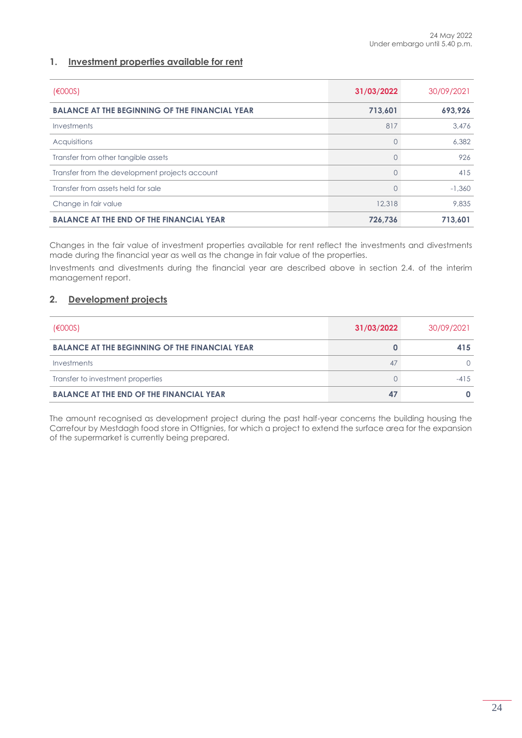### **1. Investment properties available for rent**

| (6000S)                                               | 31/03/2022 | 30/09/2021 |
|-------------------------------------------------------|------------|------------|
| <b>BALANCE AT THE BEGINNING OF THE FINANCIAL YEAR</b> | 713,601    | 693,926    |
| Investments                                           | 817        | 3.476      |
| Acquisitions                                          |            | 6,382      |
| Transfer from other tangible assets                   |            | 926        |
| Transfer from the development projects account        |            | 415        |
| Transfer from assets held for sale                    |            | $-1.360$   |
| Change in fair value                                  | 12,318     | 9,835      |
| <b>BALANCE AT THE END OF THE FINANCIAL YEAR</b>       | 726.736    | 713.601    |

Changes in the fair value of investment properties available for rent reflect the investments and divestments made during the financial year as well as the change in fair value of the properties.

Investments and divestments during the financial year are described above in section 2.4. of the interim management report.

#### **2. Development projects**

| (6000S)                                               | 31/03/2022 | 30/09/2021 |
|-------------------------------------------------------|------------|------------|
| <b>BALANCE AT THE BEGINNING OF THE FINANCIAL YEAR</b> |            | 415        |
| Investments                                           | 47         |            |
| Transfer to investment properties                     |            | $-41.5$    |
| <b>BALANCE AT THE END OF THE FINANCIAL YEAR</b>       | 47         |            |

The amount recognised as development project during the past half-year concerns the building housing the Carrefour by Mestdagh food store in Ottignies, for which a project to extend the surface area for the expansion of the supermarket is currently being prepared.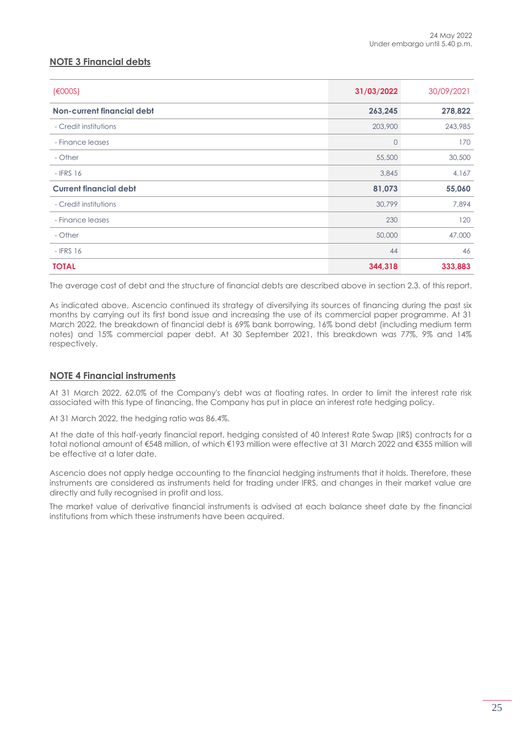# <span id="page-24-0"></span>**NOTE 3 Financial debts**

| (6000S)                       | 31/03/2022 | 30/09/2021 |
|-------------------------------|------------|------------|
| Non-current financial debt    | 263,245    | 278,822    |
| - Credit institutions         | 203,900    | 243,985    |
| - Finance leases              | 0          | 170        |
| - Other                       | 55,500     | 30,500     |
| $-$ IFRS 16                   | 3,845      | 4,167      |
| <b>Current financial debt</b> | 81,073     | 55,060     |
| - Credit institutions         | 30,799     | 7,894      |
| - Finance leases              | 230        | 120        |
| - Other                       | 50,000     | 47,000     |
| $-$ IFRS 16                   | 44         | 46         |
| <b>TOTAL</b>                  | 344,318    | 333,883    |

The average cost of debt and the structure of financial debts are described above in section 2.3. of this report.

As indicated above, Ascencio continued its strategy of diversifying its sources of financing during the past six months by carrying out its first bond issue and increasing the use of its commercial paper programme. At 31 March 2022, the breakdown of financial debt is 69% bank borrowing, 16% bond debt (including medium term notes) and 15% commercial paper debt. At 30 September 2021, this breakdown was 77%, 9% and 14% respectively.

### <span id="page-24-1"></span>**NOTE 4 Financial instruments**

At 31 March 2022, 62.0% of the Company's debt was at floating rates. In order to limit the interest rate risk associated with this type of financing, the Company has put in place an interest rate hedging policy.

At 31 March 2022, the hedging ratio was 86.4%.

At the date of this half-yearly financial report, hedging consisted of 40 Interest Rate Swap (IRS) contracts for a total notional amount of €548 million, of which €193 million were effective at 31 March 2022 and €355 million will be effective at a later date.

Ascencio does not apply hedge accounting to the financial hedging instruments that it holds. Therefore, these instruments are considered as instruments held for trading under IFRS, and changes in their market value are directly and fully recognised in profit and loss.

The market value of derivative financial instruments is advised at each balance sheet date by the financial institutions from which these instruments have been acquired.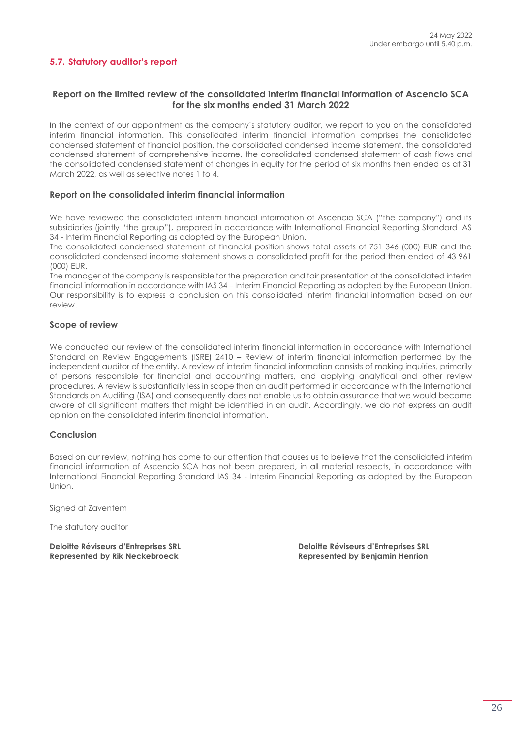# <span id="page-25-0"></span>**5.7. Statutory auditor's report**

### **Report on the limited review of the consolidated interim financial information of Ascencio SCA for the six months ended 31 March 2022**

In the context of our appointment as the company's statutory auditor, we report to you on the consolidated interim financial information. This consolidated interim financial information comprises the consolidated condensed statement of financial position, the consolidated condensed income statement, the consolidated condensed statement of comprehensive income, the consolidated condensed statement of cash flows and the consolidated condensed statement of changes in equity for the period of six months then ended as at 31 March 2022, as well as selective notes 1 to 4.

#### **Report on the consolidated interim financial information**

We have reviewed the consolidated interim financial information of Ascencio SCA ("the company") and its subsidiaries (jointly "the group"), prepared in accordance with International Financial Reporting Standard IAS 34 - Interim Financial Reporting as adopted by the European Union.

The consolidated condensed statement of financial position shows total assets of 751 346 (000) EUR and the consolidated condensed income statement shows a consolidated profit for the period then ended of 43 961 (000) EUR.

The manager of the company is responsible for the preparation and fair presentation of the consolidated interim financial information in accordance with IAS 34 – Interim Financial Reporting as adopted by the European Union. Our responsibility is to express a conclusion on this consolidated interim financial information based on our review.

#### **Scope of review**

We conducted our review of the consolidated interim financial information in accordance with International Standard on Review Engagements (ISRE) 2410 – Review of interim financial information performed by the independent auditor of the entity. A review of interim financial information consists of making inquiries, primarily of persons responsible for financial and accounting matters, and applying analytical and other review procedures. A review is substantially less in scope than an audit performed in accordance with the International Standards on Auditing (ISA) and consequently does not enable us to obtain assurance that we would become aware of all significant matters that might be identified in an audit. Accordingly, we do not express an audit opinion on the consolidated interim financial information.

#### **Conclusion**

Based on our review, nothing has come to our attention that causes us to believe that the consolidated interim financial information of Ascencio SCA has not been prepared, in all material respects, in accordance with International Financial Reporting Standard IAS 34 - Interim Financial Reporting as adopted by the European Union.

Signed at Zaventem

The statutory auditor

**Deloitte Réviseurs d'Entreprises SRL Deloitte Réviseurs d'Entreprises SRL** Represented by Rik Neckebroeck **Represented by Benjamin Henrion**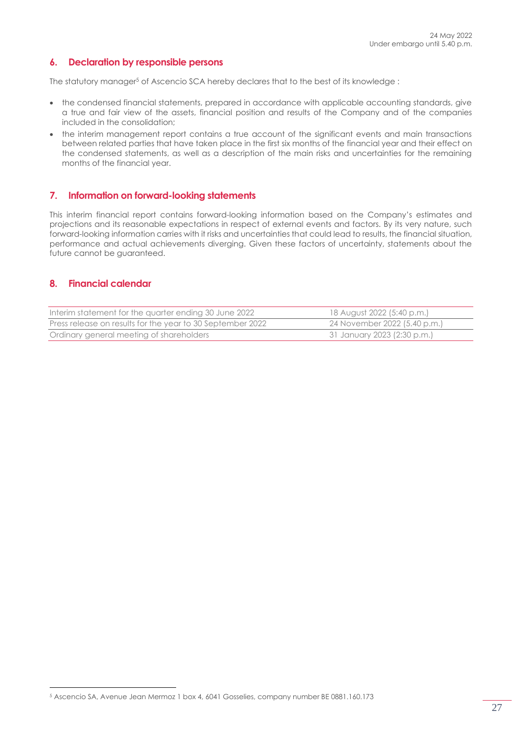### <span id="page-26-0"></span>**6. Declaration by responsible persons**

The statutory manager<sup>5</sup> of Ascencio SCA hereby declares that to the best of its knowledge:

- the condensed financial statements, prepared in accordance with applicable accounting standards, give a true and fair view of the assets, financial position and results of the Company and of the companies included in the consolidation;
- the interim management report contains a true account of the significant events and main transactions between related parties that have taken place in the first six months of the financial year and their effect on the condensed statements, as well as a description of the main risks and uncertainties for the remaining months of the financial year.

#### <span id="page-26-1"></span>**7. Information on forward-looking statements**

This interim financial report contains forward-looking information based on the Company's estimates and projections and its reasonable expectations in respect of external events and factors. By its very nature, such forward-looking information carries with it risks and uncertainties that could lead to results, the financial situation, performance and actual achievements diverging. Given these factors of uncertainty, statements about the future cannot be guaranteed.

#### <span id="page-26-2"></span>**8. Financial calendar**

| Interim statement for the quarter ending 30 June 2022      | 18 August 2022 (5:40 p.m.)   |
|------------------------------------------------------------|------------------------------|
| Press release on results for the year to 30 September 2022 | 24 November 2022 (5.40 p.m.) |
| Ordinary general meeting of shareholders                   | 31 January 2023 (2:30 p.m.)  |

<sup>5</sup> Ascencio SA, Avenue Jean Mermoz 1 box 4, 6041 Gosselies, company number BE 0881.160.173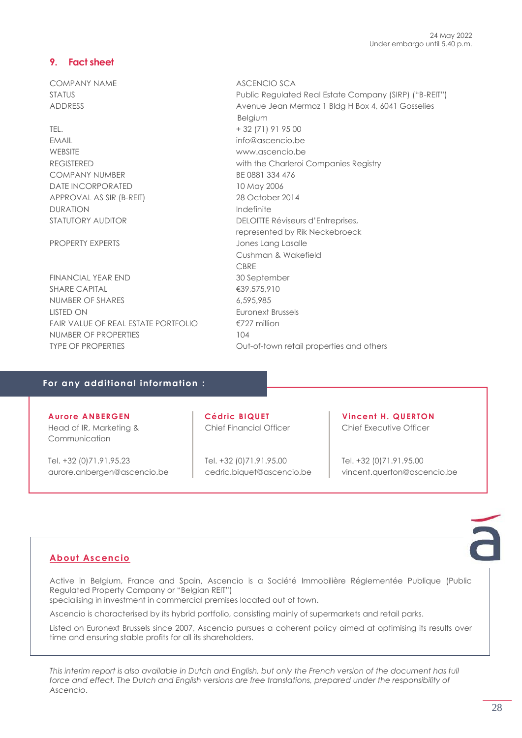# <span id="page-27-0"></span>**9. Fact sheet**

COMPANY NAME ASCENCIO SCA

TEL. + 32 (71) 91 95 00 EMAIL info@ascencio.be WEBSITE www.ascencio.be COMPANY NUMBER BE 0881 334 476 DATE INCORPORATED 10 May 2006 APPROVAL AS SIR (B-REIT) 28 October 2014 DURATION **Indefinite** 

FINANCIAL YEAR END 30 September SHARE CAPITAL <del>€39,575,910</del> NUMBER OF SHARES 6.595,985 LISTED ON Euronext Brussels FAIR VALUE OF REAL ESTATE PORTFOLIO €727 million NUMBER OF PROPERTIES 104 TYPE OF PROPERTIES **CONFINGITY OUT-OF-TOWN retail properties and others** 

STATUS Public Regulated Real Estate Company (SIRP) ("B-REIT") ADDRESS Avenue Jean Mermoz 1 Bldg H Box 4, 6041 Gosselies Belgium REGISTERED with the Charleroi Companies Registry STATUTORY AUDITOR DELOITTE Réviseurs d'Entreprises, represented by Rik Neckebroeck PROPERTY EXPERTS **State State Services** Jones Lang Lasalle Cushman & Wakefield **CBRF** 

### **For any additional information :**

**Aurore ANBERGEN** Head of IR, Marketing & Communication

Tel. +32 (0)71.91.95.23 [aurore.anbergen@ascencio.be](mailto:aurore.anbergen@ascencio.be) **Cédric BIQUET** Chief Financial Officer

Tel. +32 (0)71.91.95.00 [cedric.biquet@ascencio.be](mailto:cedric.biquet@ascencio.be)

**Vincent H. QUERTON** Chief Executive Officer

Tel. +32 (0)71.91.95.00 [vincent.querton@ascencio.be](mailto:vincent.querton@ascencio.be)

# **About Ascencio**

Active in Belgium, France and Spain, Ascencio is a Société Immobilière Réglementée Publique (Public Regulated Property Company or "Belgian REIT")

specialising in investment in commercial premises located out of town.

Ascencio is characterised by its hybrid portfolio, consisting mainly of supermarkets and retail parks.

Listed on Euronext Brussels since 2007, Ascencio pursues a coherent policy aimed at optimising its results over time and ensuring stable profits for all its shareholders.

*This interim report is also available in Dutch and English, but only the French version of the document has full*  force and effect. The Dutch and English versions are free translations, prepared under the responsibility of *Ascencio*.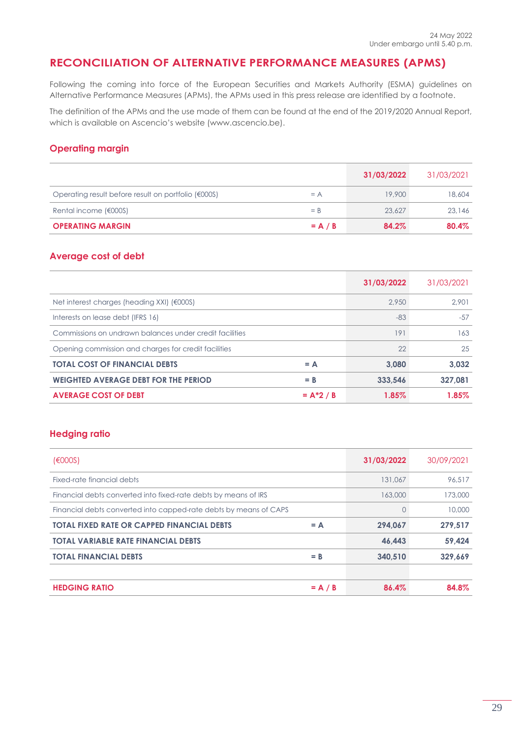# <span id="page-28-0"></span>**RECONCILIATION OF ALTERNATIVE PERFORMANCE MEASURES (APMS)**

Following the coming into force of the European Securities and Markets Authority (ESMA) guidelines on Alternative Performance Measures (APMs), the APMs used in this press release are identified by a footnote.

The definition of the APMs and the use made of them can be found at the end of the 2019/2020 Annual Report, which is available on Ascencio's website (www.ascencio.be).

# **Operating margin**

|                                                     |           | 31/03/2022 | 31/03/2021 |
|-----------------------------------------------------|-----------|------------|------------|
| Operating result before result on portfolio (€000S) | $= A$     | 19.900     | 18,604     |
| Rental income (€000S)                               | $=$ B     | 23,627     | 23,146     |
| <b>OPERATING MARGIN</b>                             | $= A / B$ | 84.2%      | 80.4%      |

#### **Average cost of debt**

|                                                          | 31/03/2022 | 31/03/2021 |
|----------------------------------------------------------|------------|------------|
| Net interest charges (heading $XXI$ ) ( $\epsilon$ 000S) | 2.950      | 2.901      |
| Interests on lease debt (IFRS 16)                        | $-83$      | $-57$      |
| Commissions on undrawn balances under credit facilities  | 191        | 163        |
| Opening commission and charges for credit facilities     | 22         | 25         |
| <b>TOTAL COST OF FINANCIAL DEBTS</b><br>$= A$            | 3.080      | 3.032      |
| <b>WEIGHTED AVERAGE DEBT FOR THE PERIOD</b><br>$=$ B     | 333.546    | 327,081    |
| <b>AVERAGE COST OF DEBT</b><br>$= A^*2 / B$              | 1.85%      | 1.85%      |

### **Hedging ratio**

| (6000S)                                                           |           | 31/03/2022 | 30/09/2021 |
|-------------------------------------------------------------------|-----------|------------|------------|
| Fixed-rate financial debts                                        |           | 131,067    | 96,517     |
| Financial debts converted into fixed-rate debts by means of IRS   |           | 163,000    | 173,000    |
| Financial debts converted into capped-rate debts by means of CAPS |           | 0          | 10,000     |
| <b>TOTAL FIXED RATE OR CAPPED FINANCIAL DEBTS</b>                 | $= A$     | 294.067    | 279,517    |
| <b>TOTAL VARIABLE RATE FINANCIAL DEBTS</b>                        |           | 46.443     | 59.424     |
| <b>TOTAL FINANCIAL DEBTS</b>                                      | $=$ B     | 340.510    | 329.669    |
|                                                                   |           |            |            |
| <b>HEDGING RATIO</b>                                              | $= A / B$ | 86.4%      | 84.8%      |